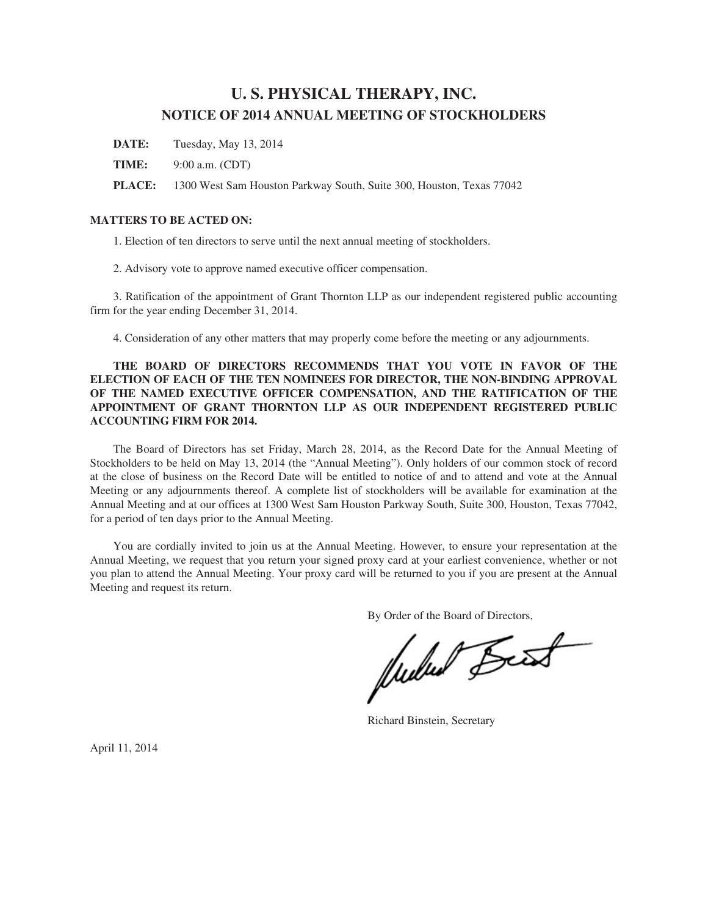# **U. S. PHYSICAL THERAPY, INC. NOTICE OF 2014 ANNUAL MEETING OF STOCKHOLDERS**

**DATE:** Tuesday, May 13, 2014

**TIME:** 9:00 a.m. (CDT)

**PLACE:** 1300 West Sam Houston Parkway South, Suite 300, Houston, Texas 77042

## **MATTERS TO BE ACTED ON:**

1. Election of ten directors to serve until the next annual meeting of stockholders.

2. Advisory vote to approve named executive officer compensation.

3. Ratification of the appointment of Grant Thornton LLP as our independent registered public accounting firm for the year ending December 31, 2014.

4. Consideration of any other matters that may properly come before the meeting or any adjournments.

## **THE BOARD OF DIRECTORS RECOMMENDS THAT YOU VOTE IN FAVOR OF THE ELECTION OF EACH OF THE TEN NOMINEES FOR DIRECTOR, THE NON-BINDING APPROVAL OF THE NAMED EXECUTIVE OFFICER COMPENSATION, AND THE RATIFICATION OF THE APPOINTMENT OF GRANT THORNTON LLP AS OUR INDEPENDENT REGISTERED PUBLIC ACCOUNTING FIRM FOR 2014.**

The Board of Directors has set Friday, March 28, 2014, as the Record Date for the Annual Meeting of Stockholders to be held on May 13, 2014 (the "Annual Meeting"). Only holders of our common stock of record at the close of business on the Record Date will be entitled to notice of and to attend and vote at the Annual Meeting or any adjournments thereof. A complete list of stockholders will be available for examination at the Annual Meeting and at our offices at 1300 West Sam Houston Parkway South, Suite 300, Houston, Texas 77042, for a period of ten days prior to the Annual Meeting.

You are cordially invited to join us at the Annual Meeting. However, to ensure your representation at the Annual Meeting, we request that you return your signed proxy card at your earliest convenience, whether or not you plan to attend the Annual Meeting. Your proxy card will be returned to you if you are present at the Annual Meeting and request its return.

By Order of the Board of Directors,<br>
Wullet Beest

Richard Binstein, Secretary

April 11, 2014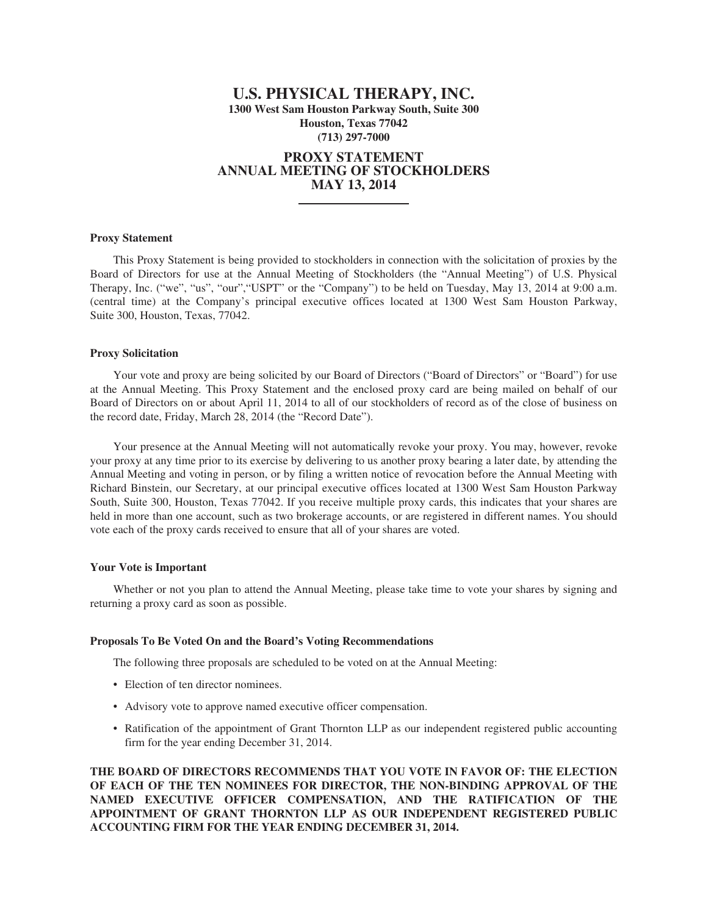## **U.S. PHYSICAL THERAPY, INC. 1300 West Sam Houston Parkway South, Suite 300 Houston, Texas 77042 (713) 297-7000**

## **PROXY STATEMENT ANNUAL MEETING OF STOCKHOLDERS MAY 13, 2014**

### **Proxy Statement**

This Proxy Statement is being provided to stockholders in connection with the solicitation of proxies by the Board of Directors for use at the Annual Meeting of Stockholders (the "Annual Meeting") of U.S. Physical Therapy, Inc. ("we", "us", "our", "USPT" or the "Company") to be held on Tuesday, May 13, 2014 at 9:00 a.m. (central time) at the Company's principal executive offices located at 1300 West Sam Houston Parkway, Suite 300, Houston, Texas, 77042.

## **Proxy Solicitation**

Your vote and proxy are being solicited by our Board of Directors ("Board of Directors" or "Board") for use at the Annual Meeting. This Proxy Statement and the enclosed proxy card are being mailed on behalf of our Board of Directors on or about April 11, 2014 to all of our stockholders of record as of the close of business on the record date, Friday, March 28, 2014 (the "Record Date").

Your presence at the Annual Meeting will not automatically revoke your proxy. You may, however, revoke your proxy at any time prior to its exercise by delivering to us another proxy bearing a later date, by attending the Annual Meeting and voting in person, or by filing a written notice of revocation before the Annual Meeting with Richard Binstein, our Secretary, at our principal executive offices located at 1300 West Sam Houston Parkway South, Suite 300, Houston, Texas 77042. If you receive multiple proxy cards, this indicates that your shares are held in more than one account, such as two brokerage accounts, or are registered in different names. You should vote each of the proxy cards received to ensure that all of your shares are voted.

#### **Your Vote is Important**

Whether or not you plan to attend the Annual Meeting, please take time to vote your shares by signing and returning a proxy card as soon as possible.

## **Proposals To Be Voted On and the Board's Voting Recommendations**

The following three proposals are scheduled to be voted on at the Annual Meeting:

- Election of ten director nominees.
- Advisory vote to approve named executive officer compensation.
- Ratification of the appointment of Grant Thornton LLP as our independent registered public accounting firm for the year ending December 31, 2014.

**THE BOARD OF DIRECTORS RECOMMENDS THAT YOU VOTE IN FAVOR OF: THE ELECTION OF EACH OF THE TEN NOMINEES FOR DIRECTOR, THE NON-BINDING APPROVAL OF THE NAMED EXECUTIVE OFFICER COMPENSATION, AND THE RATIFICATION OF THE APPOINTMENT OF GRANT THORNTON LLP AS OUR INDEPENDENT REGISTERED PUBLIC ACCOUNTING FIRM FOR THE YEAR ENDING DECEMBER 31, 2014.**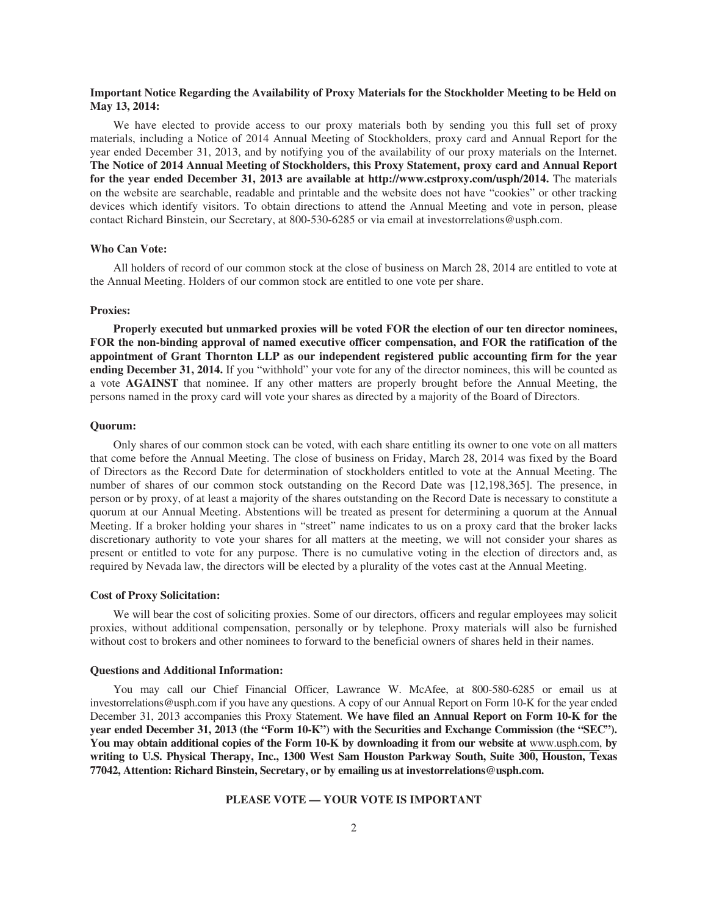## **Important Notice Regarding the Availability of Proxy Materials for the Stockholder Meeting to be Held on May 13, 2014:**

We have elected to provide access to our proxy materials both by sending you this full set of proxy materials, including a Notice of 2014 Annual Meeting of Stockholders, proxy card and Annual Report for the year ended December 31, 2013, and by notifying you of the availability of our proxy materials on the Internet. **The Notice of 2014 Annual Meeting of Stockholders, this Proxy Statement, proxy card and Annual Report for the year ended December 31, 2013 are available at http://www.cstproxy.com/usph/2014.** The materials on the website are searchable, readable and printable and the website does not have "cookies" or other tracking devices which identify visitors. To obtain directions to attend the Annual Meeting and vote in person, please contact Richard Binstein, our Secretary, at 800-530-6285 or via email at investorrelations@usph.com.

#### **Who Can Vote:**

All holders of record of our common stock at the close of business on March 28, 2014 are entitled to vote at the Annual Meeting. Holders of our common stock are entitled to one vote per share.

#### **Proxies:**

**Properly executed but unmarked proxies will be voted FOR the election of our ten director nominees, FOR the non-binding approval of named executive officer compensation, and FOR the ratification of the appointment of Grant Thornton LLP as our independent registered public accounting firm for the year ending December 31, 2014.** If you "withhold" your vote for any of the director nominees, this will be counted as a vote **AGAINST** that nominee. If any other matters are properly brought before the Annual Meeting, the persons named in the proxy card will vote your shares as directed by a majority of the Board of Directors.

#### **Quorum:**

Only shares of our common stock can be voted, with each share entitling its owner to one vote on all matters that come before the Annual Meeting. The close of business on Friday, March 28, 2014 was fixed by the Board of Directors as the Record Date for determination of stockholders entitled to vote at the Annual Meeting. The number of shares of our common stock outstanding on the Record Date was [12,198,365]. The presence, in person or by proxy, of at least a majority of the shares outstanding on the Record Date is necessary to constitute a quorum at our Annual Meeting. Abstentions will be treated as present for determining a quorum at the Annual Meeting. If a broker holding your shares in "street" name indicates to us on a proxy card that the broker lacks discretionary authority to vote your shares for all matters at the meeting, we will not consider your shares as present or entitled to vote for any purpose. There is no cumulative voting in the election of directors and, as required by Nevada law, the directors will be elected by a plurality of the votes cast at the Annual Meeting.

#### **Cost of Proxy Solicitation:**

We will bear the cost of soliciting proxies. Some of our directors, officers and regular employees may solicit proxies, without additional compensation, personally or by telephone. Proxy materials will also be furnished without cost to brokers and other nominees to forward to the beneficial owners of shares held in their names.

#### **Questions and Additional Information:**

You may call our Chief Financial Officer, Lawrance W. McAfee, at 800-580-6285 or email us at investorrelations@usph.com if you have any questions. A copy of our Annual Report on Form 10-K for the year ended December 31, 2013 accompanies this Proxy Statement. **We have filed an Annual Report on Form 10-K for the year ended December 31, 2013 (the "Form 10-K") with the Securities and Exchange Commission (the "SEC"). You may obtain additional copies of the Form 10-K by downloading it from our website at** www.usph.com, **by writing to U.S. Physical Therapy, Inc., 1300 West Sam Houston Parkway South, Suite 300, Houston, Texas 77042, Attention: Richard Binstein, Secretary, or by emailing us at investorrelations@usph.com.**

## **PLEASE VOTE — YOUR VOTE IS IMPORTANT**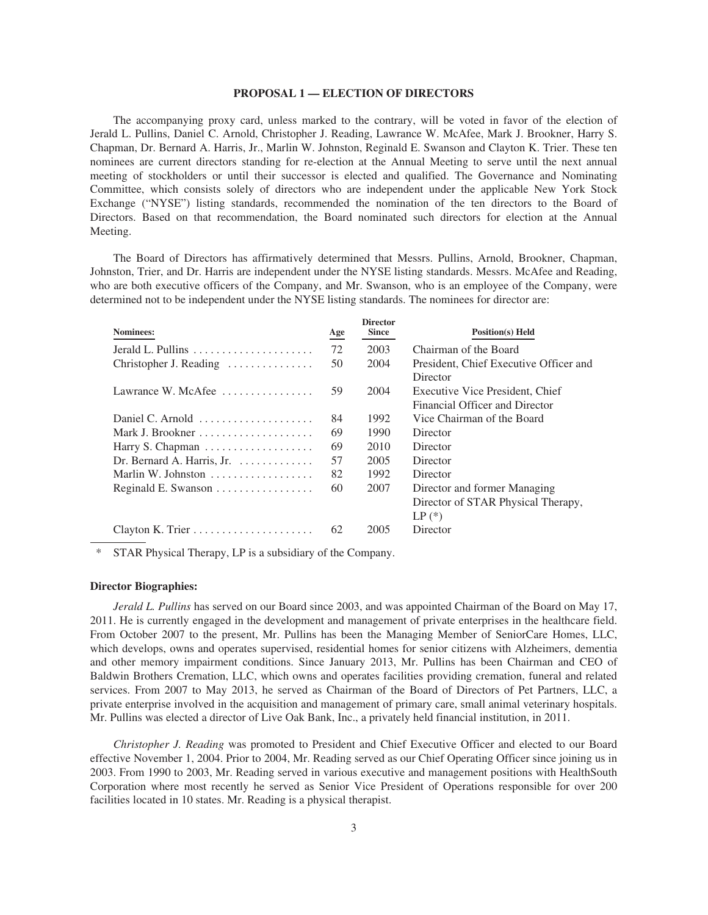#### **PROPOSAL 1 — ELECTION OF DIRECTORS**

The accompanying proxy card, unless marked to the contrary, will be voted in favor of the election of Jerald L. Pullins, Daniel C. Arnold, Christopher J. Reading, Lawrance W. McAfee, Mark J. Brookner, Harry S. Chapman, Dr. Bernard A. Harris, Jr., Marlin W. Johnston, Reginald E. Swanson and Clayton K. Trier. These ten nominees are current directors standing for re-election at the Annual Meeting to serve until the next annual meeting of stockholders or until their successor is elected and qualified. The Governance and Nominating Committee, which consists solely of directors who are independent under the applicable New York Stock Exchange ("NYSE") listing standards, recommended the nomination of the ten directors to the Board of Directors. Based on that recommendation, the Board nominated such directors for election at the Annual Meeting.

The Board of Directors has affirmatively determined that Messrs. Pullins, Arnold, Brookner, Chapman, Johnston, Trier, and Dr. Harris are independent under the NYSE listing standards. Messrs. McAfee and Reading, who are both executive officers of the Company, and Mr. Swanson, who is an employee of the Company, were determined not to be independent under the NYSE listing standards. The nominees for director are:

| <b>Nominees:</b>                                              | Age | <b>Director</b><br><b>Since</b> | <b>Position(s)</b> Held                |
|---------------------------------------------------------------|-----|---------------------------------|----------------------------------------|
| Jerald L. Pullins $\ldots \ldots \ldots \ldots \ldots \ldots$ | 72  | 2003                            | Chairman of the Board                  |
| Christopher J. Reading                                        | 50  | 2004                            | President, Chief Executive Officer and |
|                                                               |     |                                 | Director                               |
| Lawrance W. McAfee $\ldots \ldots \ldots \ldots$              | 59  | 2004                            | Executive Vice President, Chief        |
|                                                               |     |                                 | Financial Officer and Director         |
| Daniel C. Arnold                                              | 84  | 1992                            | Vice Chairman of the Board             |
|                                                               | 69  | 1990                            | Director                               |
|                                                               | 69  | 2010                            | Director                               |
| Dr. Bernard A. Harris, Jr.                                    | 57  | 2005                            | Director                               |
| Marlin W. Johnston                                            | 82  | 1992                            | Director                               |
| Reginald E. Swanson                                           | 60  | 2007                            | Director and former Managing           |
|                                                               |     |                                 | Director of STAR Physical Therapy,     |
|                                                               |     |                                 | $LP$ $(*)$                             |
|                                                               | 62  | 2005                            | Director                               |

\* STAR Physical Therapy, LP is a subsidiary of the Company.

#### **Director Biographies:**

*Jerald L. Pullins* has served on our Board since 2003, and was appointed Chairman of the Board on May 17, 2011. He is currently engaged in the development and management of private enterprises in the healthcare field. From October 2007 to the present, Mr. Pullins has been the Managing Member of SeniorCare Homes, LLC, which develops, owns and operates supervised, residential homes for senior citizens with Alzheimers, dementia and other memory impairment conditions. Since January 2013, Mr. Pullins has been Chairman and CEO of Baldwin Brothers Cremation, LLC, which owns and operates facilities providing cremation, funeral and related services. From 2007 to May 2013, he served as Chairman of the Board of Directors of Pet Partners, LLC, a private enterprise involved in the acquisition and management of primary care, small animal veterinary hospitals. Mr. Pullins was elected a director of Live Oak Bank, Inc., a privately held financial institution, in 2011.

*Christopher J. Reading* was promoted to President and Chief Executive Officer and elected to our Board effective November 1, 2004. Prior to 2004, Mr. Reading served as our Chief Operating Officer since joining us in 2003. From 1990 to 2003, Mr. Reading served in various executive and management positions with HealthSouth Corporation where most recently he served as Senior Vice President of Operations responsible for over 200 facilities located in 10 states. Mr. Reading is a physical therapist.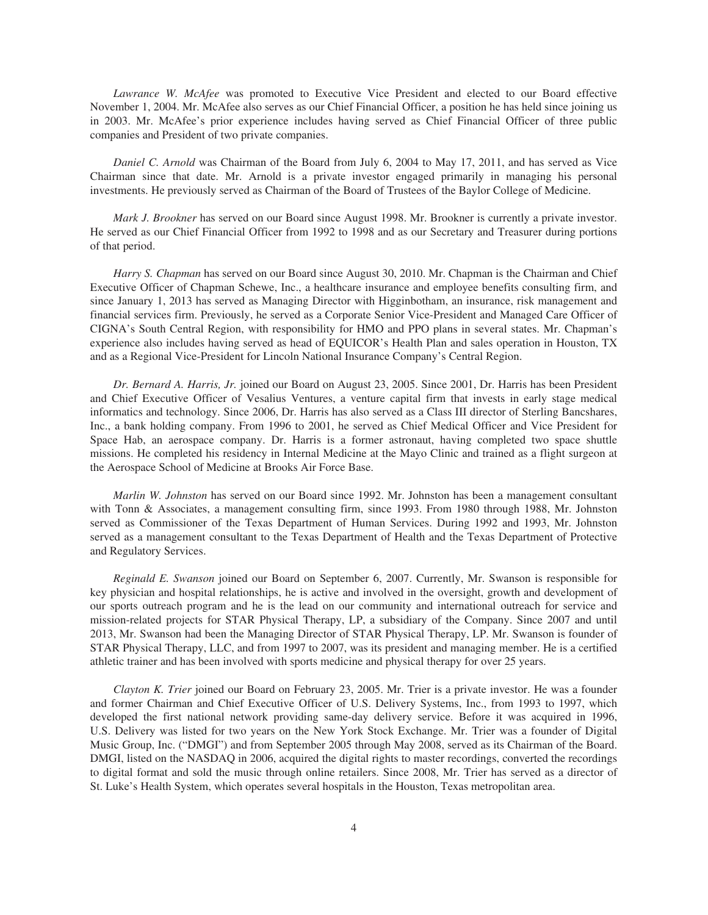*Lawrance W. McAfee* was promoted to Executive Vice President and elected to our Board effective November 1, 2004. Mr. McAfee also serves as our Chief Financial Officer, a position he has held since joining us in 2003. Mr. McAfee's prior experience includes having served as Chief Financial Officer of three public companies and President of two private companies.

*Daniel C. Arnold* was Chairman of the Board from July 6, 2004 to May 17, 2011, and has served as Vice Chairman since that date. Mr. Arnold is a private investor engaged primarily in managing his personal investments. He previously served as Chairman of the Board of Trustees of the Baylor College of Medicine.

*Mark J. Brookner* has served on our Board since August 1998. Mr. Brookner is currently a private investor. He served as our Chief Financial Officer from 1992 to 1998 and as our Secretary and Treasurer during portions of that period.

*Harry S. Chapman* has served on our Board since August 30, 2010. Mr. Chapman is the Chairman and Chief Executive Officer of Chapman Schewe, Inc., a healthcare insurance and employee benefits consulting firm, and since January 1, 2013 has served as Managing Director with Higginbotham, an insurance, risk management and financial services firm. Previously, he served as a Corporate Senior Vice-President and Managed Care Officer of CIGNA's South Central Region, with responsibility for HMO and PPO plans in several states. Mr. Chapman's experience also includes having served as head of EQUICOR's Health Plan and sales operation in Houston, TX and as a Regional Vice-President for Lincoln National Insurance Company's Central Region.

*Dr. Bernard A. Harris, Jr.* joined our Board on August 23, 2005. Since 2001, Dr. Harris has been President and Chief Executive Officer of Vesalius Ventures, a venture capital firm that invests in early stage medical informatics and technology. Since 2006, Dr. Harris has also served as a Class III director of Sterling Bancshares, Inc., a bank holding company. From 1996 to 2001, he served as Chief Medical Officer and Vice President for Space Hab, an aerospace company. Dr. Harris is a former astronaut, having completed two space shuttle missions. He completed his residency in Internal Medicine at the Mayo Clinic and trained as a flight surgeon at the Aerospace School of Medicine at Brooks Air Force Base.

*Marlin W. Johnston* has served on our Board since 1992. Mr. Johnston has been a management consultant with Tonn & Associates, a management consulting firm, since 1993. From 1980 through 1988, Mr. Johnston served as Commissioner of the Texas Department of Human Services. During 1992 and 1993, Mr. Johnston served as a management consultant to the Texas Department of Health and the Texas Department of Protective and Regulatory Services.

*Reginald E. Swanson* joined our Board on September 6, 2007. Currently, Mr. Swanson is responsible for key physician and hospital relationships, he is active and involved in the oversight, growth and development of our sports outreach program and he is the lead on our community and international outreach for service and mission-related projects for STAR Physical Therapy, LP, a subsidiary of the Company. Since 2007 and until 2013, Mr. Swanson had been the Managing Director of STAR Physical Therapy, LP. Mr. Swanson is founder of STAR Physical Therapy, LLC, and from 1997 to 2007, was its president and managing member. He is a certified athletic trainer and has been involved with sports medicine and physical therapy for over 25 years.

*Clayton K. Trier* joined our Board on February 23, 2005. Mr. Trier is a private investor. He was a founder and former Chairman and Chief Executive Officer of U.S. Delivery Systems, Inc., from 1993 to 1997, which developed the first national network providing same-day delivery service. Before it was acquired in 1996, U.S. Delivery was listed for two years on the New York Stock Exchange. Mr. Trier was a founder of Digital Music Group, Inc. ("DMGI") and from September 2005 through May 2008, served as its Chairman of the Board. DMGI, listed on the NASDAQ in 2006, acquired the digital rights to master recordings, converted the recordings to digital format and sold the music through online retailers. Since 2008, Mr. Trier has served as a director of St. Luke's Health System, which operates several hospitals in the Houston, Texas metropolitan area.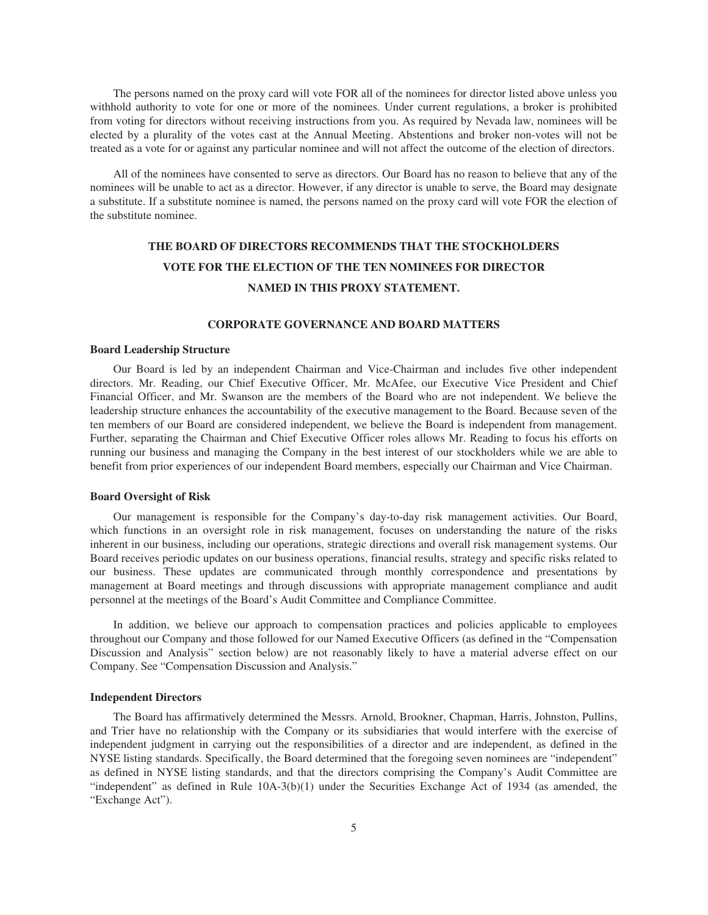The persons named on the proxy card will vote FOR all of the nominees for director listed above unless you withhold authority to vote for one or more of the nominees. Under current regulations, a broker is prohibited from voting for directors without receiving instructions from you. As required by Nevada law, nominees will be elected by a plurality of the votes cast at the Annual Meeting. Abstentions and broker non-votes will not be treated as a vote for or against any particular nominee and will not affect the outcome of the election of directors.

All of the nominees have consented to serve as directors. Our Board has no reason to believe that any of the nominees will be unable to act as a director. However, if any director is unable to serve, the Board may designate a substitute. If a substitute nominee is named, the persons named on the proxy card will vote FOR the election of the substitute nominee.

## **THE BOARD OF DIRECTORS RECOMMENDS THAT THE STOCKHOLDERS VOTE FOR THE ELECTION OF THE TEN NOMINEES FOR DIRECTOR NAMED IN THIS PROXY STATEMENT.**

## **CORPORATE GOVERNANCE AND BOARD MATTERS**

#### **Board Leadership Structure**

Our Board is led by an independent Chairman and Vice-Chairman and includes five other independent directors. Mr. Reading, our Chief Executive Officer, Mr. McAfee, our Executive Vice President and Chief Financial Officer, and Mr. Swanson are the members of the Board who are not independent. We believe the leadership structure enhances the accountability of the executive management to the Board. Because seven of the ten members of our Board are considered independent, we believe the Board is independent from management. Further, separating the Chairman and Chief Executive Officer roles allows Mr. Reading to focus his efforts on running our business and managing the Company in the best interest of our stockholders while we are able to benefit from prior experiences of our independent Board members, especially our Chairman and Vice Chairman.

#### **Board Oversight of Risk**

Our management is responsible for the Company's day-to-day risk management activities. Our Board, which functions in an oversight role in risk management, focuses on understanding the nature of the risks inherent in our business, including our operations, strategic directions and overall risk management systems. Our Board receives periodic updates on our business operations, financial results, strategy and specific risks related to our business. These updates are communicated through monthly correspondence and presentations by management at Board meetings and through discussions with appropriate management compliance and audit personnel at the meetings of the Board's Audit Committee and Compliance Committee.

In addition, we believe our approach to compensation practices and policies applicable to employees throughout our Company and those followed for our Named Executive Officers (as defined in the "Compensation Discussion and Analysis" section below) are not reasonably likely to have a material adverse effect on our Company. See "Compensation Discussion and Analysis."

#### **Independent Directors**

The Board has affirmatively determined the Messrs. Arnold, Brookner, Chapman, Harris, Johnston, Pullins, and Trier have no relationship with the Company or its subsidiaries that would interfere with the exercise of independent judgment in carrying out the responsibilities of a director and are independent, as defined in the NYSE listing standards. Specifically, the Board determined that the foregoing seven nominees are "independent" as defined in NYSE listing standards, and that the directors comprising the Company's Audit Committee are "independent" as defined in Rule 10A-3(b)(1) under the Securities Exchange Act of 1934 (as amended, the "Exchange Act").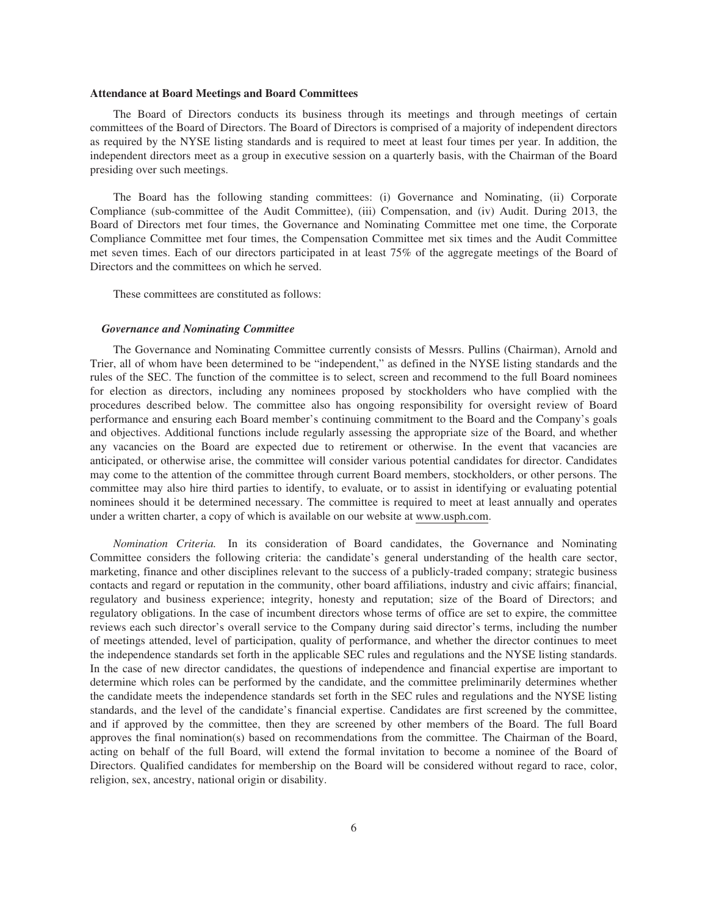#### **Attendance at Board Meetings and Board Committees**

The Board of Directors conducts its business through its meetings and through meetings of certain committees of the Board of Directors. The Board of Directors is comprised of a majority of independent directors as required by the NYSE listing standards and is required to meet at least four times per year. In addition, the independent directors meet as a group in executive session on a quarterly basis, with the Chairman of the Board presiding over such meetings.

The Board has the following standing committees: (i) Governance and Nominating, (ii) Corporate Compliance (sub-committee of the Audit Committee), (iii) Compensation, and (iv) Audit. During 2013, the Board of Directors met four times, the Governance and Nominating Committee met one time, the Corporate Compliance Committee met four times, the Compensation Committee met six times and the Audit Committee met seven times. Each of our directors participated in at least 75% of the aggregate meetings of the Board of Directors and the committees on which he served.

These committees are constituted as follows:

#### *Governance and Nominating Committee*

The Governance and Nominating Committee currently consists of Messrs. Pullins (Chairman), Arnold and Trier, all of whom have been determined to be "independent," as defined in the NYSE listing standards and the rules of the SEC. The function of the committee is to select, screen and recommend to the full Board nominees for election as directors, including any nominees proposed by stockholders who have complied with the procedures described below. The committee also has ongoing responsibility for oversight review of Board performance and ensuring each Board member's continuing commitment to the Board and the Company's goals and objectives. Additional functions include regularly assessing the appropriate size of the Board, and whether any vacancies on the Board are expected due to retirement or otherwise. In the event that vacancies are anticipated, or otherwise arise, the committee will consider various potential candidates for director. Candidates may come to the attention of the committee through current Board members, stockholders, or other persons. The committee may also hire third parties to identify, to evaluate, or to assist in identifying or evaluating potential nominees should it be determined necessary. The committee is required to meet at least annually and operates under a written charter, a copy of which is available on our website at www.usph.com.

*Nomination Criteria.* In its consideration of Board candidates, the Governance and Nominating Committee considers the following criteria: the candidate's general understanding of the health care sector, marketing, finance and other disciplines relevant to the success of a publicly-traded company; strategic business contacts and regard or reputation in the community, other board affiliations, industry and civic affairs; financial, regulatory and business experience; integrity, honesty and reputation; size of the Board of Directors; and regulatory obligations. In the case of incumbent directors whose terms of office are set to expire, the committee reviews each such director's overall service to the Company during said director's terms, including the number of meetings attended, level of participation, quality of performance, and whether the director continues to meet the independence standards set forth in the applicable SEC rules and regulations and the NYSE listing standards. In the case of new director candidates, the questions of independence and financial expertise are important to determine which roles can be performed by the candidate, and the committee preliminarily determines whether the candidate meets the independence standards set forth in the SEC rules and regulations and the NYSE listing standards, and the level of the candidate's financial expertise. Candidates are first screened by the committee, and if approved by the committee, then they are screened by other members of the Board. The full Board approves the final nomination(s) based on recommendations from the committee. The Chairman of the Board, acting on behalf of the full Board, will extend the formal invitation to become a nominee of the Board of Directors. Qualified candidates for membership on the Board will be considered without regard to race, color, religion, sex, ancestry, national origin or disability.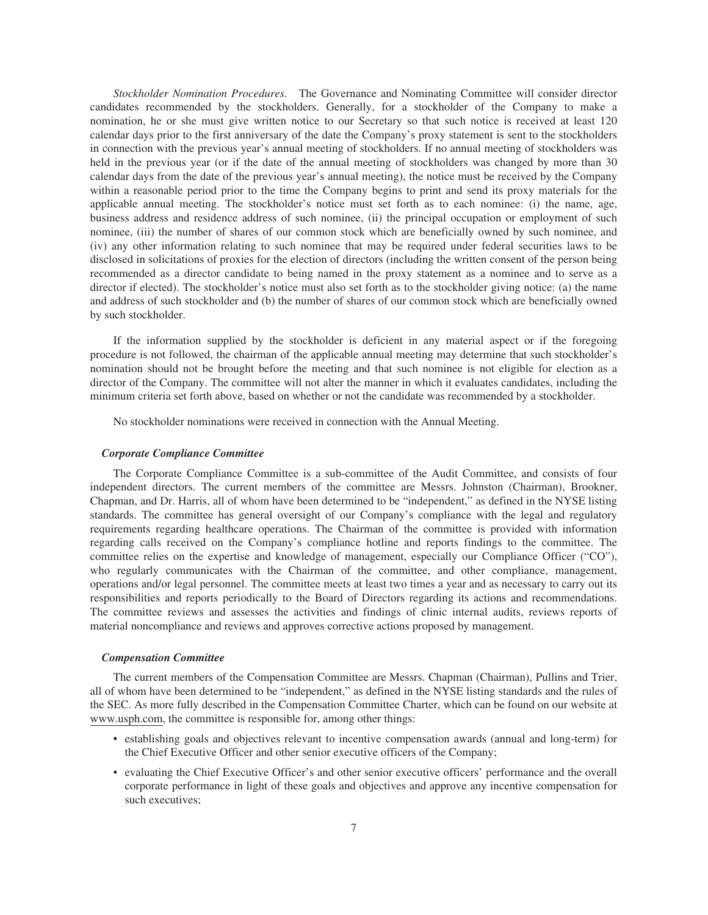*Stockholder Nomination Procedures.* The Governance and Nominating Committee will consider director candidates recommended by the stockholders. Generally, for a stockholder of the Company to make a nomination, he or she must give written notice to our Secretary so that such notice is received at least 120 calendar days prior to the first anniversary of the date the Company's proxy statement is sent to the stockholders in connection with the previous year's annual meeting of stockholders. If no annual meeting of stockholders was held in the previous year (or if the date of the annual meeting of stockholders was changed by more than 30 calendar days from the date of the previous year's annual meeting), the notice must be received by the Company within a reasonable period prior to the time the Company begins to print and send its proxy materials for the applicable annual meeting. The stockholder's notice must set forth as to each nominee: (i) the name, age, business address and residence address of such nominee, (ii) the principal occupation or employment of such nominee, (iii) the number of shares of our common stock which are beneficially owned by such nominee, and (iv) any other information relating to such nominee that may be required under federal securities laws to be disclosed in solicitations of proxies for the election of directors (including the written consent of the person being recommended as a director candidate to being named in the proxy statement as a nominee and to serve as a director if elected). The stockholder's notice must also set forth as to the stockholder giving notice: (a) the name and address of such stockholder and (b) the number of shares of our common stock which are beneficially owned by such stockholder.

If the information supplied by the stockholder is deficient in any material aspect or if the foregoing procedure is not followed, the chairman of the applicable annual meeting may determine that such stockholder's nomination should not be brought before the meeting and that such nominee is not eligible for election as a director of the Company. The committee will not alter the manner in which it evaluates candidates, including the minimum criteria set forth above, based on whether or not the candidate was recommended by a stockholder.

No stockholder nominations were received in connection with the Annual Meeting.

#### *Corporate Compliance Committee*

The Corporate Compliance Committee is a sub-committee of the Audit Committee, and consists of four independent directors. The current members of the committee are Messrs. Johnston (Chairman), Brookner, Chapman, and Dr. Harris, all of whom have been determined to be "independent," as defined in the NYSE listing standards. The committee has general oversight of our Company's compliance with the legal and regulatory requirements regarding healthcare operations. The Chairman of the committee is provided with information regarding calls received on the Company's compliance hotline and reports findings to the committee. The committee relies on the expertise and knowledge of management, especially our Compliance Officer ("CO"), who regularly communicates with the Chairman of the committee, and other compliance, management, operations and/or legal personnel. The committee meets at least two times a year and as necessary to carry out its responsibilities and reports periodically to the Board of Directors regarding its actions and recommendations. The committee reviews and assesses the activities and findings of clinic internal audits, reviews reports of material noncompliance and reviews and approves corrective actions proposed by management.

#### *Compensation Committee*

The current members of the Compensation Committee are Messrs. Chapman (Chairman), Pullins and Trier, all of whom have been determined to be "independent," as defined in the NYSE listing standards and the rules of the SEC. As more fully described in the Compensation Committee Charter, which can be found on our website at www.usph.com, the committee is responsible for, among other things:

- establishing goals and objectives relevant to incentive compensation awards (annual and long-term) for the Chief Executive Officer and other senior executive officers of the Company;
- evaluating the Chief Executive Officer's and other senior executive officers' performance and the overall corporate performance in light of these goals and objectives and approve any incentive compensation for such executives;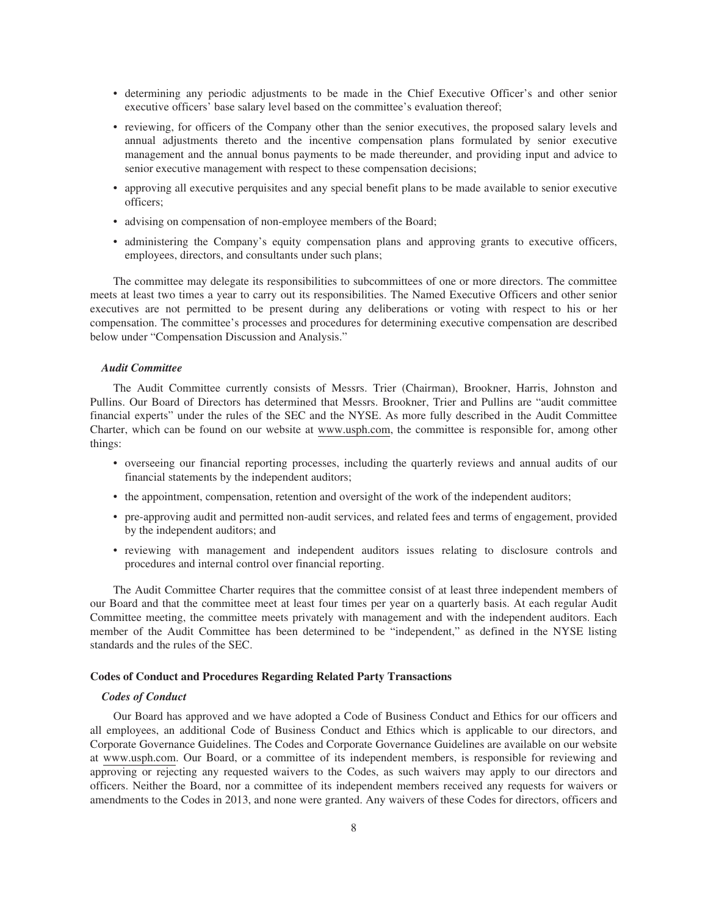- determining any periodic adjustments to be made in the Chief Executive Officer's and other senior executive officers' base salary level based on the committee's evaluation thereof;
- reviewing, for officers of the Company other than the senior executives, the proposed salary levels and annual adjustments thereto and the incentive compensation plans formulated by senior executive management and the annual bonus payments to be made thereunder, and providing input and advice to senior executive management with respect to these compensation decisions;
- approving all executive perquisites and any special benefit plans to be made available to senior executive officers;
- advising on compensation of non-employee members of the Board;
- administering the Company's equity compensation plans and approving grants to executive officers, employees, directors, and consultants under such plans;

The committee may delegate its responsibilities to subcommittees of one or more directors. The committee meets at least two times a year to carry out its responsibilities. The Named Executive Officers and other senior executives are not permitted to be present during any deliberations or voting with respect to his or her compensation. The committee's processes and procedures for determining executive compensation are described below under "Compensation Discussion and Analysis."

#### *Audit Committee*

The Audit Committee currently consists of Messrs. Trier (Chairman), Brookner, Harris, Johnston and Pullins. Our Board of Directors has determined that Messrs. Brookner, Trier and Pullins are "audit committee financial experts" under the rules of the SEC and the NYSE. As more fully described in the Audit Committee Charter, which can be found on our website at www.usph.com, the committee is responsible for, among other things:

- overseeing our financial reporting processes, including the quarterly reviews and annual audits of our financial statements by the independent auditors;
- the appointment, compensation, retention and oversight of the work of the independent auditors;
- pre-approving audit and permitted non-audit services, and related fees and terms of engagement, provided by the independent auditors; and
- reviewing with management and independent auditors issues relating to disclosure controls and procedures and internal control over financial reporting.

The Audit Committee Charter requires that the committee consist of at least three independent members of our Board and that the committee meet at least four times per year on a quarterly basis. At each regular Audit Committee meeting, the committee meets privately with management and with the independent auditors. Each member of the Audit Committee has been determined to be "independent," as defined in the NYSE listing standards and the rules of the SEC.

#### **Codes of Conduct and Procedures Regarding Related Party Transactions**

#### *Codes of Conduct*

Our Board has approved and we have adopted a Code of Business Conduct and Ethics for our officers and all employees, an additional Code of Business Conduct and Ethics which is applicable to our directors, and Corporate Governance Guidelines. The Codes and Corporate Governance Guidelines are available on our website at www.usph.com. Our Board, or a committee of its independent members, is responsible for reviewing and approving or rejecting any requested waivers to the Codes, as such waivers may apply to our directors and officers. Neither the Board, nor a committee of its independent members received any requests for waivers or amendments to the Codes in 2013, and none were granted. Any waivers of these Codes for directors, officers and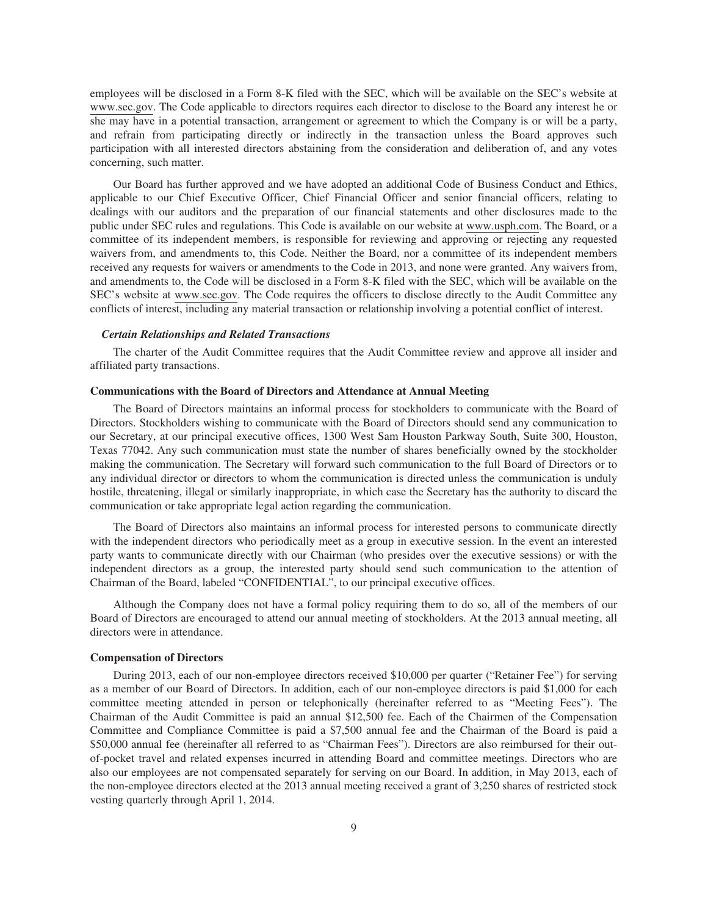employees will be disclosed in a Form 8-K filed with the SEC, which will be available on the SEC's website at www.sec.gov. The Code applicable to directors requires each director to disclose to the Board any interest he or she may have in a potential transaction, arrangement or agreement to which the Company is or will be a party, and refrain from participating directly or indirectly in the transaction unless the Board approves such participation with all interested directors abstaining from the consideration and deliberation of, and any votes concerning, such matter.

Our Board has further approved and we have adopted an additional Code of Business Conduct and Ethics, applicable to our Chief Executive Officer, Chief Financial Officer and senior financial officers, relating to dealings with our auditors and the preparation of our financial statements and other disclosures made to the public under SEC rules and regulations. This Code is available on our website at www.usph.com. The Board, or a committee of its independent members, is responsible for reviewing and approving or rejecting any requested waivers from, and amendments to, this Code. Neither the Board, nor a committee of its independent members received any requests for waivers or amendments to the Code in 2013, and none were granted. Any waivers from, and amendments to, the Code will be disclosed in a Form 8-K filed with the SEC, which will be available on the SEC's website at www.sec.gov. The Code requires the officers to disclose directly to the Audit Committee any conflicts of interest, including any material transaction or relationship involving a potential conflict of interest.

#### *Certain Relationships and Related Transactions*

The charter of the Audit Committee requires that the Audit Committee review and approve all insider and affiliated party transactions.

#### **Communications with the Board of Directors and Attendance at Annual Meeting**

The Board of Directors maintains an informal process for stockholders to communicate with the Board of Directors. Stockholders wishing to communicate with the Board of Directors should send any communication to our Secretary, at our principal executive offices, 1300 West Sam Houston Parkway South, Suite 300, Houston, Texas 77042. Any such communication must state the number of shares beneficially owned by the stockholder making the communication. The Secretary will forward such communication to the full Board of Directors or to any individual director or directors to whom the communication is directed unless the communication is unduly hostile, threatening, illegal or similarly inappropriate, in which case the Secretary has the authority to discard the communication or take appropriate legal action regarding the communication.

The Board of Directors also maintains an informal process for interested persons to communicate directly with the independent directors who periodically meet as a group in executive session. In the event an interested party wants to communicate directly with our Chairman (who presides over the executive sessions) or with the independent directors as a group, the interested party should send such communication to the attention of Chairman of the Board, labeled "CONFIDENTIAL", to our principal executive offices.

Although the Company does not have a formal policy requiring them to do so, all of the members of our Board of Directors are encouraged to attend our annual meeting of stockholders. At the 2013 annual meeting, all directors were in attendance.

#### **Compensation of Directors**

During 2013, each of our non-employee directors received \$10,000 per quarter ("Retainer Fee") for serving as a member of our Board of Directors. In addition, each of our non-employee directors is paid \$1,000 for each committee meeting attended in person or telephonically (hereinafter referred to as "Meeting Fees"). The Chairman of the Audit Committee is paid an annual \$12,500 fee. Each of the Chairmen of the Compensation Committee and Compliance Committee is paid a \$7,500 annual fee and the Chairman of the Board is paid a \$50,000 annual fee (hereinafter all referred to as "Chairman Fees"). Directors are also reimbursed for their outof-pocket travel and related expenses incurred in attending Board and committee meetings. Directors who are also our employees are not compensated separately for serving on our Board. In addition, in May 2013, each of the non-employee directors elected at the 2013 annual meeting received a grant of 3,250 shares of restricted stock vesting quarterly through April 1, 2014.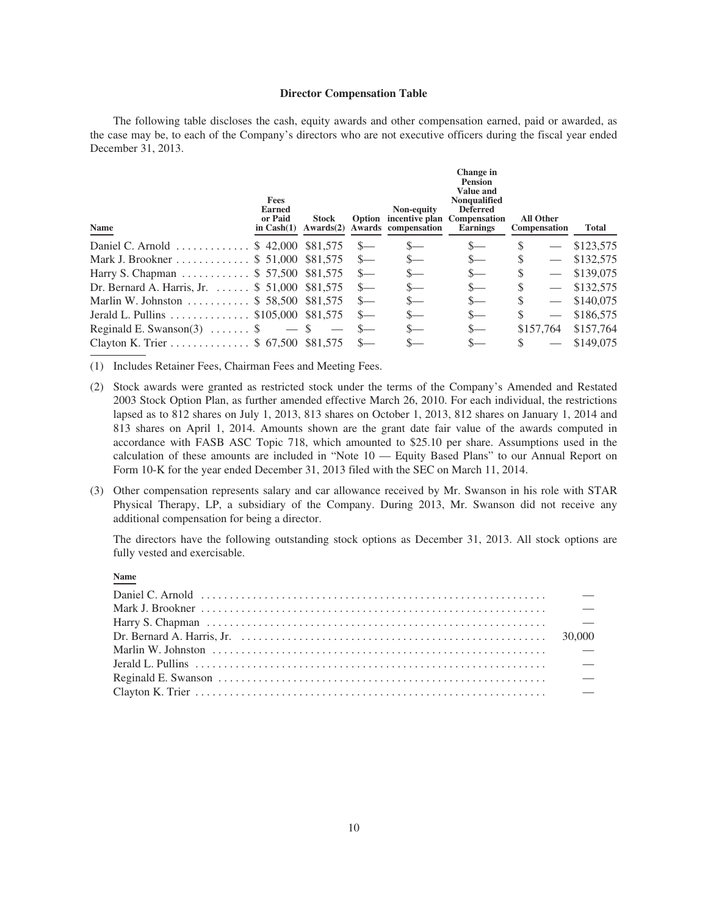#### **Director Compensation Table**

The following table discloses the cash, equity awards and other compensation earned, paid or awarded, as the case may be, to each of the Company's directors who are not executive officers during the fiscal year ended December 31, 2013.

| Fees<br>Earned<br>or Paid<br>in $Cash(1)$ | <b>Stock</b><br>Awards(2) |                                                                                                                                                                                                                                                                                                                  | Non-equity | Change in<br><b>Pension</b><br><b>Value and</b><br><b>Nonqualified</b><br><b>Deferred</b><br><b>Earnings</b> |                                              | Total                                         |
|-------------------------------------------|---------------------------|------------------------------------------------------------------------------------------------------------------------------------------------------------------------------------------------------------------------------------------------------------------------------------------------------------------|------------|--------------------------------------------------------------------------------------------------------------|----------------------------------------------|-----------------------------------------------|
|                                           |                           | $S-$                                                                                                                                                                                                                                                                                                             | $s-$       | $S-$                                                                                                         |                                              | \$123,575                                     |
|                                           |                           |                                                                                                                                                                                                                                                                                                                  | $s-$       | $\mathbf{S}$                                                                                                 |                                              | \$132,575                                     |
|                                           |                           | $S-$                                                                                                                                                                                                                                                                                                             |            | $S-$                                                                                                         |                                              | \$139,075                                     |
|                                           |                           | $S-$                                                                                                                                                                                                                                                                                                             | $S-$       | $S-$                                                                                                         |                                              | \$132,575                                     |
|                                           |                           |                                                                                                                                                                                                                                                                                                                  | $S-$       | $S-$                                                                                                         |                                              | \$140,075                                     |
|                                           |                           | $S-$                                                                                                                                                                                                                                                                                                             | S—         | $S-$                                                                                                         |                                              | \$186,575                                     |
| Reginald E. Swanson(3) $\ldots$ \$        |                           |                                                                                                                                                                                                                                                                                                                  |            | $S-$                                                                                                         |                                              | \$157,764                                     |
|                                           |                           |                                                                                                                                                                                                                                                                                                                  |            | $S-$                                                                                                         |                                              | \$149,075                                     |
|                                           |                           | Daniel C. Arnold  \$ 42,000 \$81,575<br>Mark J. Brookner \$ 51,000 \$81,575<br>Harry S. Chapman \$ 57,500 \$81,575<br>Dr. Bernard A. Harris, Jr. $\ldots$ \$ 51,000 \$81,575<br>Marlin W. Johnston  \$ 58,500 \$81,575<br>Jerald L. Pullins  \$105,000 \$81,575<br>$-$ S<br>Clayton K. Trier  \$ 67,500 \$81,575 |            | Awards compensation                                                                                          | Option incentive plan<br><b>Compensation</b> | <b>All Other</b><br>Compensation<br>\$157,764 |

(1) Includes Retainer Fees, Chairman Fees and Meeting Fees.

- (2) Stock awards were granted as restricted stock under the terms of the Company's Amended and Restated 2003 Stock Option Plan, as further amended effective March 26, 2010. For each individual, the restrictions lapsed as to 812 shares on July 1, 2013, 813 shares on October 1, 2013, 812 shares on January 1, 2014 and 813 shares on April 1, 2014. Amounts shown are the grant date fair value of the awards computed in accordance with FASB ASC Topic 718, which amounted to \$25.10 per share. Assumptions used in the calculation of these amounts are included in "Note 10 — Equity Based Plans" to our Annual Report on Form 10-K for the year ended December 31, 2013 filed with the SEC on March 11, 2014.
- (3) Other compensation represents salary and car allowance received by Mr. Swanson in his role with STAR Physical Therapy, LP, a subsidiary of the Company. During 2013, Mr. Swanson did not receive any additional compensation for being a director.

The directors have the following outstanding stock options as December 31, 2013. All stock options are fully vested and exercisable.

**Name**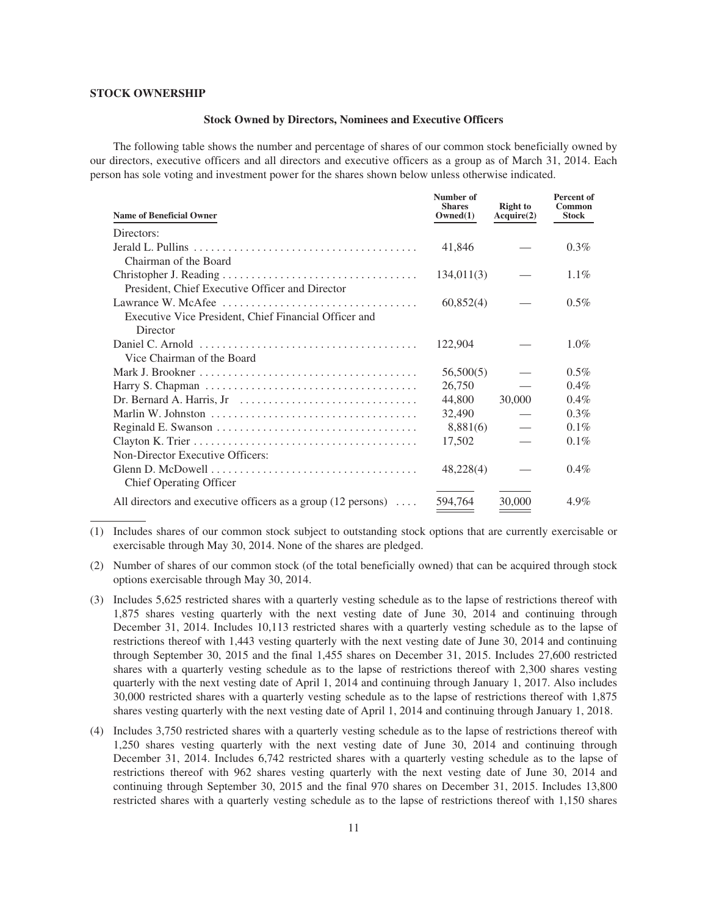### **STOCK OWNERSHIP**

#### **Stock Owned by Directors, Nominees and Executive Officers**

The following table shows the number and percentage of shares of our common stock beneficially owned by our directors, executive officers and all directors and executive officers as a group as of March 31, 2014. Each person has sole voting and investment power for the shares shown below unless otherwise indicated.

| <b>Name of Beneficial Owner</b>                                                            | Number of<br><b>Shares</b><br>Owned(1) | <b>Right</b> to<br>Acquire(2) | <b>Percent of</b><br>Common<br><b>Stock</b> |
|--------------------------------------------------------------------------------------------|----------------------------------------|-------------------------------|---------------------------------------------|
| Directors:                                                                                 |                                        |                               |                                             |
|                                                                                            | 41,846                                 |                               | $0.3\%$                                     |
| Chairman of the Board                                                                      |                                        |                               |                                             |
|                                                                                            | 134,011(3)                             |                               | $1.1\%$                                     |
| President, Chief Executive Officer and Director                                            |                                        |                               |                                             |
|                                                                                            | 60,852(4)                              |                               | $0.5\%$                                     |
| Executive Vice President, Chief Financial Officer and                                      |                                        |                               |                                             |
| Director                                                                                   |                                        |                               |                                             |
| Daniel C. Arnold $\dots \dots \dots \dots \dots \dots \dots \dots \dots \dots \dots \dots$ | 122,904                                |                               | $1.0\%$                                     |
| Vice Chairman of the Board                                                                 |                                        |                               |                                             |
|                                                                                            | 56,500(5)                              |                               | $0.5\%$                                     |
|                                                                                            | 26,750                                 |                               | $0.4\%$                                     |
| Dr. Bernard A. Harris, Jr $\ldots \ldots \ldots \ldots \ldots \ldots \ldots \ldots \ldots$ | 44,800                                 | 30,000                        | $0.4\%$                                     |
|                                                                                            | 32,490                                 |                               | $0.3\%$                                     |
|                                                                                            | 8,881(6)                               |                               | $0.1\%$                                     |
|                                                                                            | 17,502                                 |                               | $0.1\%$                                     |
| Non-Director Executive Officers:                                                           |                                        |                               |                                             |
|                                                                                            | 48,228(4)                              |                               | $0.4\%$                                     |
| <b>Chief Operating Officer</b>                                                             |                                        |                               |                                             |
| All directors and executive officers as a group $(12 \text{ persons}) \dots$               | 594.764                                | 30,000                        | 4.9%                                        |

<sup>(1)</sup> Includes shares of our common stock subject to outstanding stock options that are currently exercisable or exercisable through May 30, 2014. None of the shares are pledged.

<sup>(2)</sup> Number of shares of our common stock (of the total beneficially owned) that can be acquired through stock options exercisable through May 30, 2014.

<sup>(3)</sup> Includes 5,625 restricted shares with a quarterly vesting schedule as to the lapse of restrictions thereof with 1,875 shares vesting quarterly with the next vesting date of June 30, 2014 and continuing through December 31, 2014. Includes 10,113 restricted shares with a quarterly vesting schedule as to the lapse of restrictions thereof with 1,443 vesting quarterly with the next vesting date of June 30, 2014 and continuing through September 30, 2015 and the final 1,455 shares on December 31, 2015. Includes 27,600 restricted shares with a quarterly vesting schedule as to the lapse of restrictions thereof with 2,300 shares vesting quarterly with the next vesting date of April 1, 2014 and continuing through January 1, 2017. Also includes 30,000 restricted shares with a quarterly vesting schedule as to the lapse of restrictions thereof with 1,875 shares vesting quarterly with the next vesting date of April 1, 2014 and continuing through January 1, 2018.

<sup>(4)</sup> Includes 3,750 restricted shares with a quarterly vesting schedule as to the lapse of restrictions thereof with 1,250 shares vesting quarterly with the next vesting date of June 30, 2014 and continuing through December 31, 2014. Includes 6,742 restricted shares with a quarterly vesting schedule as to the lapse of restrictions thereof with 962 shares vesting quarterly with the next vesting date of June 30, 2014 and continuing through September 30, 2015 and the final 970 shares on December 31, 2015. Includes 13,800 restricted shares with a quarterly vesting schedule as to the lapse of restrictions thereof with 1,150 shares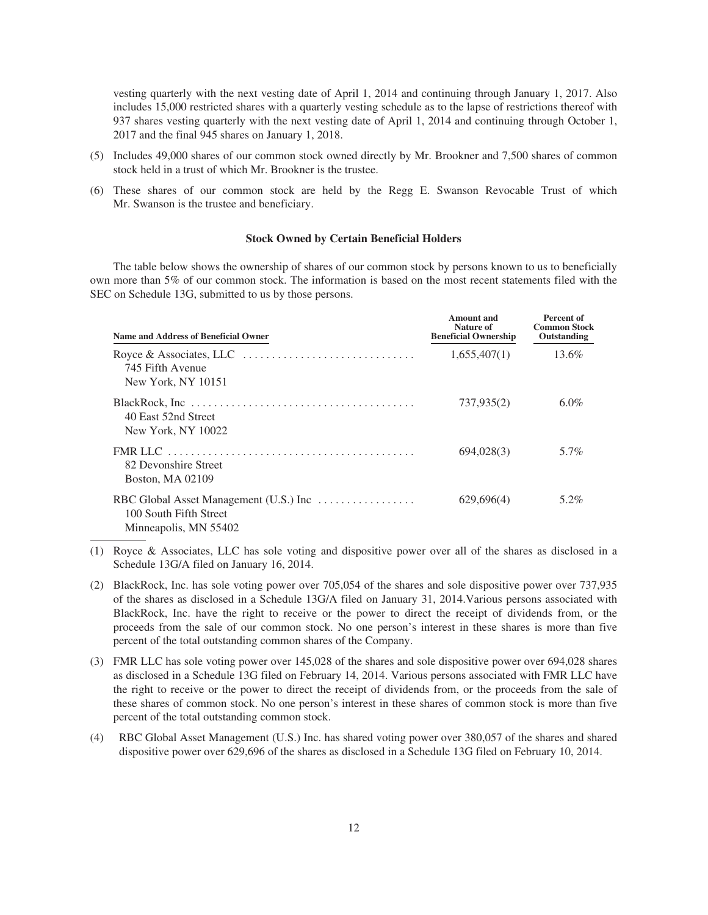vesting quarterly with the next vesting date of April 1, 2014 and continuing through January 1, 2017. Also includes 15,000 restricted shares with a quarterly vesting schedule as to the lapse of restrictions thereof with 937 shares vesting quarterly with the next vesting date of April 1, 2014 and continuing through October 1, 2017 and the final 945 shares on January 1, 2018.

- (5) Includes 49,000 shares of our common stock owned directly by Mr. Brookner and 7,500 shares of common stock held in a trust of which Mr. Brookner is the trustee.
- (6) These shares of our common stock are held by the Regg E. Swanson Revocable Trust of which Mr. Swanson is the trustee and beneficiary.

### **Stock Owned by Certain Beneficial Holders**

The table below shows the ownership of shares of our common stock by persons known to us to beneficially own more than 5% of our common stock. The information is based on the most recent statements filed with the SEC on Schedule 13G, submitted to us by those persons.

| Name and Address of Beneficial Owner                                                                                                             | Amount and<br>Nature of<br><b>Beneficial Ownership</b> | Percent of<br><b>Common Stock</b><br>Outstanding |
|--------------------------------------------------------------------------------------------------------------------------------------------------|--------------------------------------------------------|--------------------------------------------------|
| Royce & Associates, LLC $\ldots \ldots \ldots \ldots \ldots \ldots \ldots \ldots$<br>745 Fifth Avenue<br>New York, NY 10151                      | 1,655,407(1)                                           | 13.6%                                            |
| 40 East 52nd Street<br>New York, NY 10022                                                                                                        | 737,935(2)                                             | $6.0\%$                                          |
| FMR LLC $\ldots \ldots \ldots \ldots \ldots \ldots \ldots \ldots \ldots \ldots \ldots \ldots$<br>82 Devonshire Street<br><b>Boston, MA 02109</b> | 694,028(3)                                             | 5.7%                                             |
| 100 South Fifth Street<br>Minneapolis, MN 55402                                                                                                  | 629,696(4)                                             | 5.2%                                             |

<sup>(1)</sup> Royce & Associates, LLC has sole voting and dispositive power over all of the shares as disclosed in a Schedule 13G/A filed on January 16, 2014.

(4) RBC Global Asset Management (U.S.) Inc. has shared voting power over 380,057 of the shares and shared dispositive power over 629,696 of the shares as disclosed in a Schedule 13G filed on February 10, 2014.

<sup>(2)</sup> BlackRock, Inc. has sole voting power over 705,054 of the shares and sole dispositive power over 737,935 of the shares as disclosed in a Schedule 13G/A filed on January 31, 2014.Various persons associated with BlackRock, Inc. have the right to receive or the power to direct the receipt of dividends from, or the proceeds from the sale of our common stock. No one person's interest in these shares is more than five percent of the total outstanding common shares of the Company.

<sup>(3)</sup> FMR LLC has sole voting power over 145,028 of the shares and sole dispositive power over 694,028 shares as disclosed in a Schedule 13G filed on February 14, 2014. Various persons associated with FMR LLC have the right to receive or the power to direct the receipt of dividends from, or the proceeds from the sale of these shares of common stock. No one person's interest in these shares of common stock is more than five percent of the total outstanding common stock.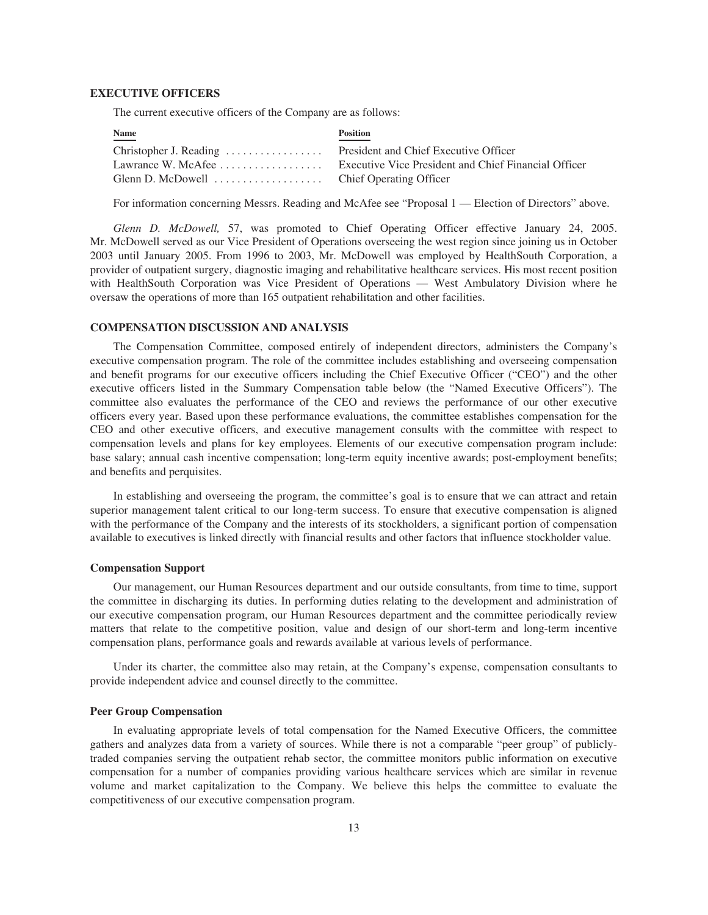#### **EXECUTIVE OFFICERS**

The current executive officers of the Company are as follows:

| Name | <b>Position</b>                                                         |
|------|-------------------------------------------------------------------------|
|      |                                                                         |
|      | Lawrance W. McAfee Executive Vice President and Chief Financial Officer |
|      |                                                                         |

For information concerning Messrs. Reading and McAfee see "Proposal 1 — Election of Directors" above.

*Glenn D. McDowell,* 57, was promoted to Chief Operating Officer effective January 24, 2005. Mr. McDowell served as our Vice President of Operations overseeing the west region since joining us in October 2003 until January 2005. From 1996 to 2003, Mr. McDowell was employed by HealthSouth Corporation, a provider of outpatient surgery, diagnostic imaging and rehabilitative healthcare services. His most recent position with HealthSouth Corporation was Vice President of Operations — West Ambulatory Division where he oversaw the operations of more than 165 outpatient rehabilitation and other facilities.

## **COMPENSATION DISCUSSION AND ANALYSIS**

The Compensation Committee, composed entirely of independent directors, administers the Company's executive compensation program. The role of the committee includes establishing and overseeing compensation and benefit programs for our executive officers including the Chief Executive Officer ("CEO") and the other executive officers listed in the Summary Compensation table below (the "Named Executive Officers"). The committee also evaluates the performance of the CEO and reviews the performance of our other executive officers every year. Based upon these performance evaluations, the committee establishes compensation for the CEO and other executive officers, and executive management consults with the committee with respect to compensation levels and plans for key employees. Elements of our executive compensation program include: base salary; annual cash incentive compensation; long-term equity incentive awards; post-employment benefits; and benefits and perquisites.

In establishing and overseeing the program, the committee's goal is to ensure that we can attract and retain superior management talent critical to our long-term success. To ensure that executive compensation is aligned with the performance of the Company and the interests of its stockholders, a significant portion of compensation available to executives is linked directly with financial results and other factors that influence stockholder value.

#### **Compensation Support**

Our management, our Human Resources department and our outside consultants, from time to time, support the committee in discharging its duties. In performing duties relating to the development and administration of our executive compensation program, our Human Resources department and the committee periodically review matters that relate to the competitive position, value and design of our short-term and long-term incentive compensation plans, performance goals and rewards available at various levels of performance.

Under its charter, the committee also may retain, at the Company's expense, compensation consultants to provide independent advice and counsel directly to the committee.

## **Peer Group Compensation**

In evaluating appropriate levels of total compensation for the Named Executive Officers, the committee gathers and analyzes data from a variety of sources. While there is not a comparable "peer group" of publiclytraded companies serving the outpatient rehab sector, the committee monitors public information on executive compensation for a number of companies providing various healthcare services which are similar in revenue volume and market capitalization to the Company. We believe this helps the committee to evaluate the competitiveness of our executive compensation program.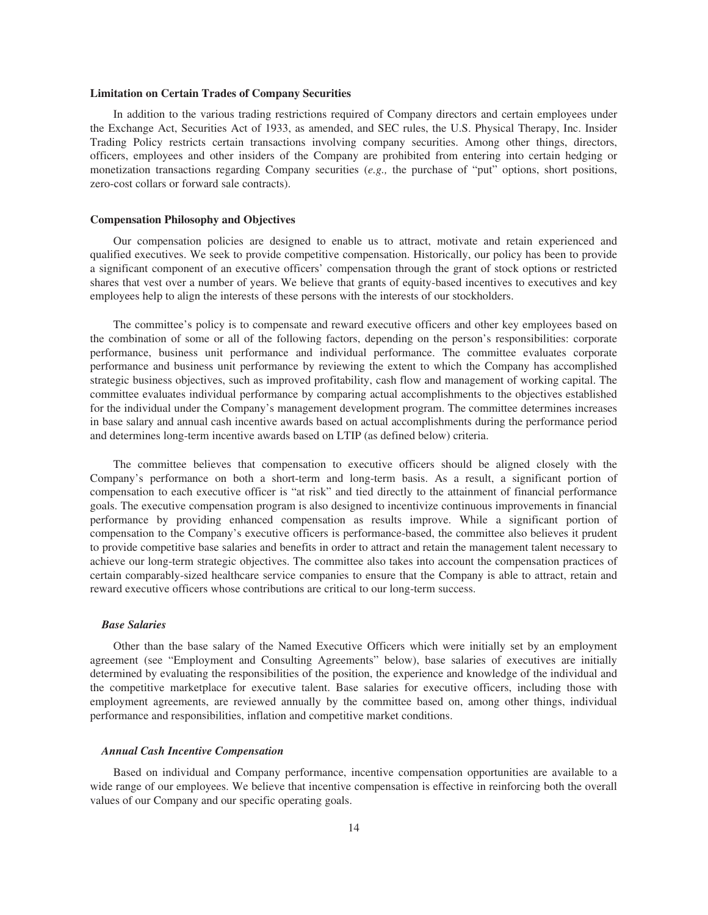#### **Limitation on Certain Trades of Company Securities**

In addition to the various trading restrictions required of Company directors and certain employees under the Exchange Act, Securities Act of 1933, as amended, and SEC rules, the U.S. Physical Therapy, Inc. Insider Trading Policy restricts certain transactions involving company securities. Among other things, directors, officers, employees and other insiders of the Company are prohibited from entering into certain hedging or monetization transactions regarding Company securities (*e.g.,* the purchase of "put" options, short positions, zero-cost collars or forward sale contracts).

#### **Compensation Philosophy and Objectives**

Our compensation policies are designed to enable us to attract, motivate and retain experienced and qualified executives. We seek to provide competitive compensation. Historically, our policy has been to provide a significant component of an executive officers' compensation through the grant of stock options or restricted shares that vest over a number of years. We believe that grants of equity-based incentives to executives and key employees help to align the interests of these persons with the interests of our stockholders.

The committee's policy is to compensate and reward executive officers and other key employees based on the combination of some or all of the following factors, depending on the person's responsibilities: corporate performance, business unit performance and individual performance. The committee evaluates corporate performance and business unit performance by reviewing the extent to which the Company has accomplished strategic business objectives, such as improved profitability, cash flow and management of working capital. The committee evaluates individual performance by comparing actual accomplishments to the objectives established for the individual under the Company's management development program. The committee determines increases in base salary and annual cash incentive awards based on actual accomplishments during the performance period and determines long-term incentive awards based on LTIP (as defined below) criteria.

The committee believes that compensation to executive officers should be aligned closely with the Company's performance on both a short-term and long-term basis. As a result, a significant portion of compensation to each executive officer is "at risk" and tied directly to the attainment of financial performance goals. The executive compensation program is also designed to incentivize continuous improvements in financial performance by providing enhanced compensation as results improve. While a significant portion of compensation to the Company's executive officers is performance-based, the committee also believes it prudent to provide competitive base salaries and benefits in order to attract and retain the management talent necessary to achieve our long-term strategic objectives. The committee also takes into account the compensation practices of certain comparably-sized healthcare service companies to ensure that the Company is able to attract, retain and reward executive officers whose contributions are critical to our long-term success.

#### *Base Salaries*

Other than the base salary of the Named Executive Officers which were initially set by an employment agreement (see "Employment and Consulting Agreements" below), base salaries of executives are initially determined by evaluating the responsibilities of the position, the experience and knowledge of the individual and the competitive marketplace for executive talent. Base salaries for executive officers, including those with employment agreements, are reviewed annually by the committee based on, among other things, individual performance and responsibilities, inflation and competitive market conditions.

#### *Annual Cash Incentive Compensation*

Based on individual and Company performance, incentive compensation opportunities are available to a wide range of our employees. We believe that incentive compensation is effective in reinforcing both the overall values of our Company and our specific operating goals.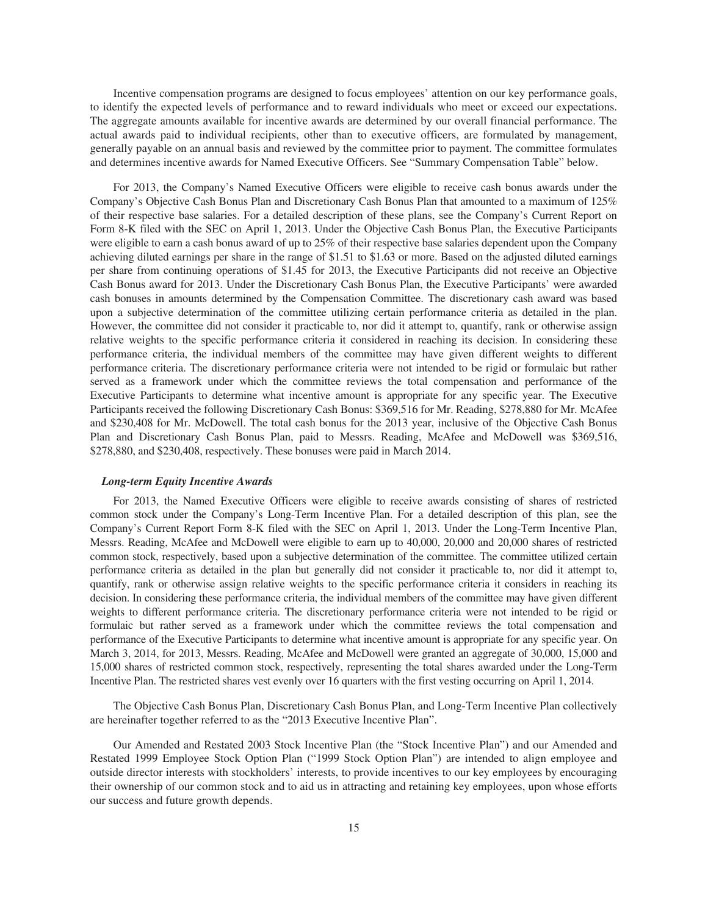Incentive compensation programs are designed to focus employees' attention on our key performance goals, to identify the expected levels of performance and to reward individuals who meet or exceed our expectations. The aggregate amounts available for incentive awards are determined by our overall financial performance. The actual awards paid to individual recipients, other than to executive officers, are formulated by management, generally payable on an annual basis and reviewed by the committee prior to payment. The committee formulates and determines incentive awards for Named Executive Officers. See "Summary Compensation Table" below.

For 2013, the Company's Named Executive Officers were eligible to receive cash bonus awards under the Company's Objective Cash Bonus Plan and Discretionary Cash Bonus Plan that amounted to a maximum of 125% of their respective base salaries. For a detailed description of these plans, see the Company's Current Report on Form 8-K filed with the SEC on April 1, 2013. Under the Objective Cash Bonus Plan, the Executive Participants were eligible to earn a cash bonus award of up to 25% of their respective base salaries dependent upon the Company achieving diluted earnings per share in the range of \$1.51 to \$1.63 or more. Based on the adjusted diluted earnings per share from continuing operations of \$1.45 for 2013, the Executive Participants did not receive an Objective Cash Bonus award for 2013. Under the Discretionary Cash Bonus Plan, the Executive Participants' were awarded cash bonuses in amounts determined by the Compensation Committee. The discretionary cash award was based upon a subjective determination of the committee utilizing certain performance criteria as detailed in the plan. However, the committee did not consider it practicable to, nor did it attempt to, quantify, rank or otherwise assign relative weights to the specific performance criteria it considered in reaching its decision. In considering these performance criteria, the individual members of the committee may have given different weights to different performance criteria. The discretionary performance criteria were not intended to be rigid or formulaic but rather served as a framework under which the committee reviews the total compensation and performance of the Executive Participants to determine what incentive amount is appropriate for any specific year. The Executive Participants received the following Discretionary Cash Bonus: \$369,516 for Mr. Reading, \$278,880 for Mr. McAfee and \$230,408 for Mr. McDowell. The total cash bonus for the 2013 year, inclusive of the Objective Cash Bonus Plan and Discretionary Cash Bonus Plan, paid to Messrs. Reading, McAfee and McDowell was \$369,516, \$278,880, and \$230,408, respectively. These bonuses were paid in March 2014.

#### *Long-term Equity Incentive Awards*

For 2013, the Named Executive Officers were eligible to receive awards consisting of shares of restricted common stock under the Company's Long-Term Incentive Plan. For a detailed description of this plan, see the Company's Current Report Form 8-K filed with the SEC on April 1, 2013. Under the Long-Term Incentive Plan, Messrs. Reading, McAfee and McDowell were eligible to earn up to 40,000, 20,000 and 20,000 shares of restricted common stock, respectively, based upon a subjective determination of the committee. The committee utilized certain performance criteria as detailed in the plan but generally did not consider it practicable to, nor did it attempt to, quantify, rank or otherwise assign relative weights to the specific performance criteria it considers in reaching its decision. In considering these performance criteria, the individual members of the committee may have given different weights to different performance criteria. The discretionary performance criteria were not intended to be rigid or formulaic but rather served as a framework under which the committee reviews the total compensation and performance of the Executive Participants to determine what incentive amount is appropriate for any specific year. On March 3, 2014, for 2013, Messrs. Reading, McAfee and McDowell were granted an aggregate of 30,000, 15,000 and 15,000 shares of restricted common stock, respectively, representing the total shares awarded under the Long-Term Incentive Plan. The restricted shares vest evenly over 16 quarters with the first vesting occurring on April 1, 2014.

The Objective Cash Bonus Plan, Discretionary Cash Bonus Plan, and Long-Term Incentive Plan collectively are hereinafter together referred to as the "2013 Executive Incentive Plan".

Our Amended and Restated 2003 Stock Incentive Plan (the "Stock Incentive Plan") and our Amended and Restated 1999 Employee Stock Option Plan ("1999 Stock Option Plan") are intended to align employee and outside director interests with stockholders' interests, to provide incentives to our key employees by encouraging their ownership of our common stock and to aid us in attracting and retaining key employees, upon whose efforts our success and future growth depends.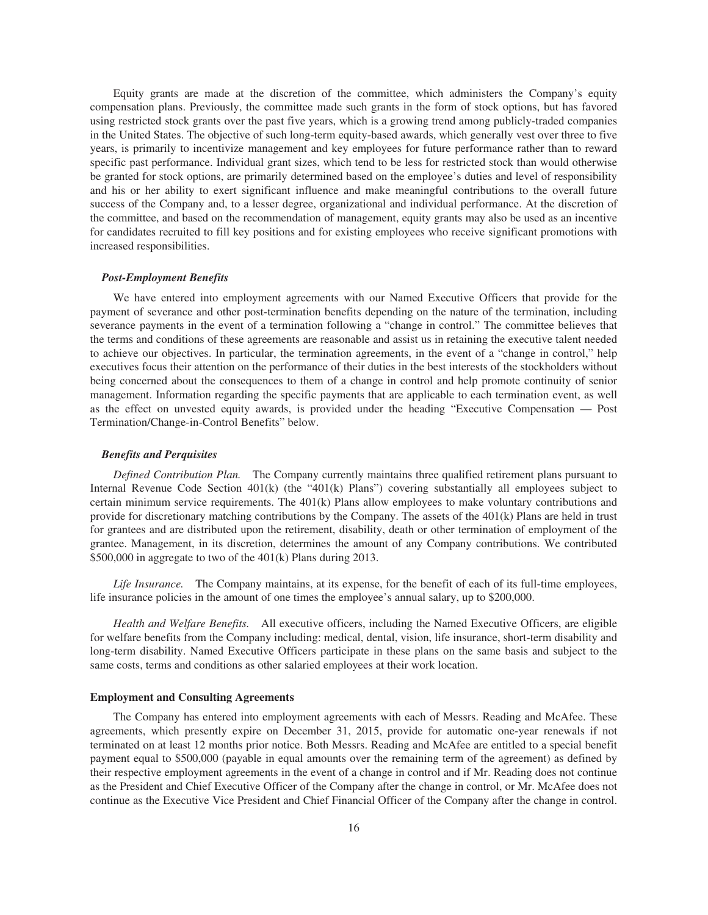Equity grants are made at the discretion of the committee, which administers the Company's equity compensation plans. Previously, the committee made such grants in the form of stock options, but has favored using restricted stock grants over the past five years, which is a growing trend among publicly-traded companies in the United States. The objective of such long-term equity-based awards, which generally vest over three to five years, is primarily to incentivize management and key employees for future performance rather than to reward specific past performance. Individual grant sizes, which tend to be less for restricted stock than would otherwise be granted for stock options, are primarily determined based on the employee's duties and level of responsibility and his or her ability to exert significant influence and make meaningful contributions to the overall future success of the Company and, to a lesser degree, organizational and individual performance. At the discretion of the committee, and based on the recommendation of management, equity grants may also be used as an incentive for candidates recruited to fill key positions and for existing employees who receive significant promotions with increased responsibilities.

#### *Post-Employment Benefits*

We have entered into employment agreements with our Named Executive Officers that provide for the payment of severance and other post-termination benefits depending on the nature of the termination, including severance payments in the event of a termination following a "change in control." The committee believes that the terms and conditions of these agreements are reasonable and assist us in retaining the executive talent needed to achieve our objectives. In particular, the termination agreements, in the event of a "change in control," help executives focus their attention on the performance of their duties in the best interests of the stockholders without being concerned about the consequences to them of a change in control and help promote continuity of senior management. Information regarding the specific payments that are applicable to each termination event, as well as the effect on unvested equity awards, is provided under the heading "Executive Compensation — Post Termination/Change-in-Control Benefits" below.

#### *Benefits and Perquisites*

*Defined Contribution Plan.* The Company currently maintains three qualified retirement plans pursuant to Internal Revenue Code Section 401(k) (the "401(k) Plans") covering substantially all employees subject to certain minimum service requirements. The 401(k) Plans allow employees to make voluntary contributions and provide for discretionary matching contributions by the Company. The assets of the 401(k) Plans are held in trust for grantees and are distributed upon the retirement, disability, death or other termination of employment of the grantee. Management, in its discretion, determines the amount of any Company contributions. We contributed \$500,000 in aggregate to two of the 401(k) Plans during 2013.

*Life Insurance.* The Company maintains, at its expense, for the benefit of each of its full-time employees, life insurance policies in the amount of one times the employee's annual salary, up to \$200,000.

*Health and Welfare Benefits.* All executive officers, including the Named Executive Officers, are eligible for welfare benefits from the Company including: medical, dental, vision, life insurance, short-term disability and long-term disability. Named Executive Officers participate in these plans on the same basis and subject to the same costs, terms and conditions as other salaried employees at their work location.

## **Employment and Consulting Agreements**

The Company has entered into employment agreements with each of Messrs. Reading and McAfee. These agreements, which presently expire on December 31, 2015, provide for automatic one-year renewals if not terminated on at least 12 months prior notice. Both Messrs. Reading and McAfee are entitled to a special benefit payment equal to \$500,000 (payable in equal amounts over the remaining term of the agreement) as defined by their respective employment agreements in the event of a change in control and if Mr. Reading does not continue as the President and Chief Executive Officer of the Company after the change in control, or Mr. McAfee does not continue as the Executive Vice President and Chief Financial Officer of the Company after the change in control.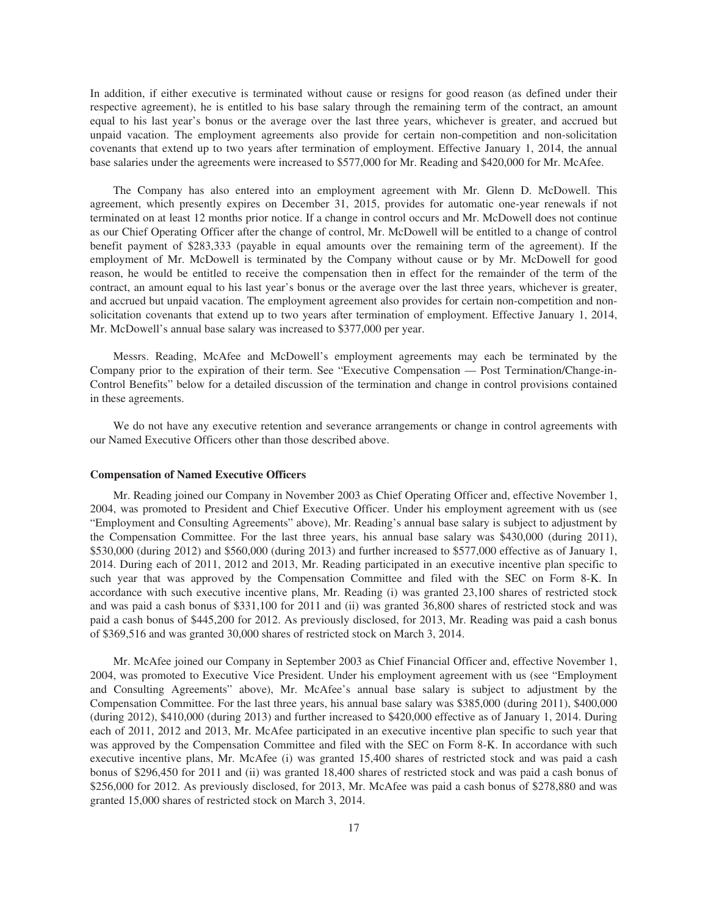In addition, if either executive is terminated without cause or resigns for good reason (as defined under their respective agreement), he is entitled to his base salary through the remaining term of the contract, an amount equal to his last year's bonus or the average over the last three years, whichever is greater, and accrued but unpaid vacation. The employment agreements also provide for certain non-competition and non-solicitation covenants that extend up to two years after termination of employment. Effective January 1, 2014, the annual base salaries under the agreements were increased to \$577,000 for Mr. Reading and \$420,000 for Mr. McAfee.

The Company has also entered into an employment agreement with Mr. Glenn D. McDowell. This agreement, which presently expires on December 31, 2015, provides for automatic one-year renewals if not terminated on at least 12 months prior notice. If a change in control occurs and Mr. McDowell does not continue as our Chief Operating Officer after the change of control, Mr. McDowell will be entitled to a change of control benefit payment of \$283,333 (payable in equal amounts over the remaining term of the agreement). If the employment of Mr. McDowell is terminated by the Company without cause or by Mr. McDowell for good reason, he would be entitled to receive the compensation then in effect for the remainder of the term of the contract, an amount equal to his last year's bonus or the average over the last three years, whichever is greater, and accrued but unpaid vacation. The employment agreement also provides for certain non-competition and nonsolicitation covenants that extend up to two years after termination of employment. Effective January 1, 2014, Mr. McDowell's annual base salary was increased to \$377,000 per year.

Messrs. Reading, McAfee and McDowell's employment agreements may each be terminated by the Company prior to the expiration of their term. See "Executive Compensation — Post Termination/Change-in-Control Benefits" below for a detailed discussion of the termination and change in control provisions contained in these agreements.

We do not have any executive retention and severance arrangements or change in control agreements with our Named Executive Officers other than those described above.

#### **Compensation of Named Executive Officers**

Mr. Reading joined our Company in November 2003 as Chief Operating Officer and, effective November 1, 2004, was promoted to President and Chief Executive Officer. Under his employment agreement with us (see "Employment and Consulting Agreements" above), Mr. Reading's annual base salary is subject to adjustment by the Compensation Committee. For the last three years, his annual base salary was \$430,000 (during 2011), \$530,000 (during 2012) and \$560,000 (during 2013) and further increased to \$577,000 effective as of January 1, 2014. During each of 2011, 2012 and 2013, Mr. Reading participated in an executive incentive plan specific to such year that was approved by the Compensation Committee and filed with the SEC on Form 8-K. In accordance with such executive incentive plans, Mr. Reading (i) was granted 23,100 shares of restricted stock and was paid a cash bonus of \$331,100 for 2011 and (ii) was granted 36,800 shares of restricted stock and was paid a cash bonus of \$445,200 for 2012. As previously disclosed, for 2013, Mr. Reading was paid a cash bonus of \$369,516 and was granted 30,000 shares of restricted stock on March 3, 2014.

Mr. McAfee joined our Company in September 2003 as Chief Financial Officer and, effective November 1, 2004, was promoted to Executive Vice President. Under his employment agreement with us (see "Employment and Consulting Agreements" above), Mr. McAfee's annual base salary is subject to adjustment by the Compensation Committee. For the last three years, his annual base salary was \$385,000 (during 2011), \$400,000 (during 2012), \$410,000 (during 2013) and further increased to \$420,000 effective as of January 1, 2014. During each of 2011, 2012 and 2013, Mr. McAfee participated in an executive incentive plan specific to such year that was approved by the Compensation Committee and filed with the SEC on Form 8-K. In accordance with such executive incentive plans, Mr. McAfee (i) was granted 15,400 shares of restricted stock and was paid a cash bonus of \$296,450 for 2011 and (ii) was granted 18,400 shares of restricted stock and was paid a cash bonus of \$256,000 for 2012. As previously disclosed, for 2013, Mr. McAfee was paid a cash bonus of \$278,880 and was granted 15,000 shares of restricted stock on March 3, 2014.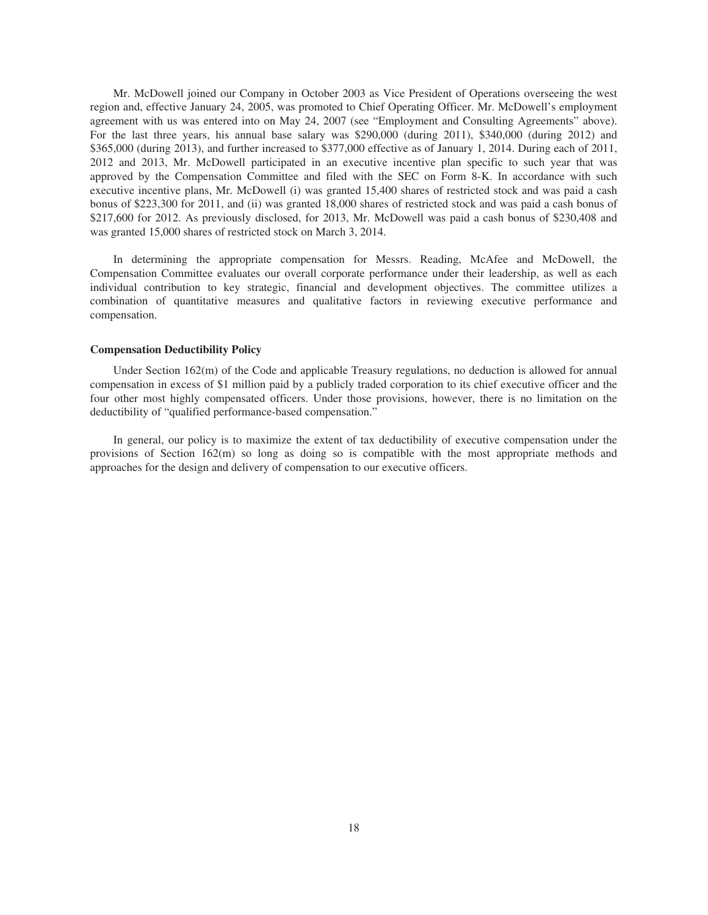Mr. McDowell joined our Company in October 2003 as Vice President of Operations overseeing the west region and, effective January 24, 2005, was promoted to Chief Operating Officer. Mr. McDowell's employment agreement with us was entered into on May 24, 2007 (see "Employment and Consulting Agreements" above). For the last three years, his annual base salary was \$290,000 (during 2011), \$340,000 (during 2012) and \$365,000 (during 2013), and further increased to \$377,000 effective as of January 1, 2014. During each of 2011, 2012 and 2013, Mr. McDowell participated in an executive incentive plan specific to such year that was approved by the Compensation Committee and filed with the SEC on Form 8-K. In accordance with such executive incentive plans, Mr. McDowell (i) was granted 15,400 shares of restricted stock and was paid a cash bonus of \$223,300 for 2011, and (ii) was granted 18,000 shares of restricted stock and was paid a cash bonus of \$217,600 for 2012. As previously disclosed, for 2013, Mr. McDowell was paid a cash bonus of \$230,408 and was granted 15,000 shares of restricted stock on March 3, 2014.

In determining the appropriate compensation for Messrs. Reading, McAfee and McDowell, the Compensation Committee evaluates our overall corporate performance under their leadership, as well as each individual contribution to key strategic, financial and development objectives. The committee utilizes a combination of quantitative measures and qualitative factors in reviewing executive performance and compensation.

#### **Compensation Deductibility Policy**

Under Section 162(m) of the Code and applicable Treasury regulations, no deduction is allowed for annual compensation in excess of \$1 million paid by a publicly traded corporation to its chief executive officer and the four other most highly compensated officers. Under those provisions, however, there is no limitation on the deductibility of "qualified performance-based compensation."

In general, our policy is to maximize the extent of tax deductibility of executive compensation under the provisions of Section 162(m) so long as doing so is compatible with the most appropriate methods and approaches for the design and delivery of compensation to our executive officers.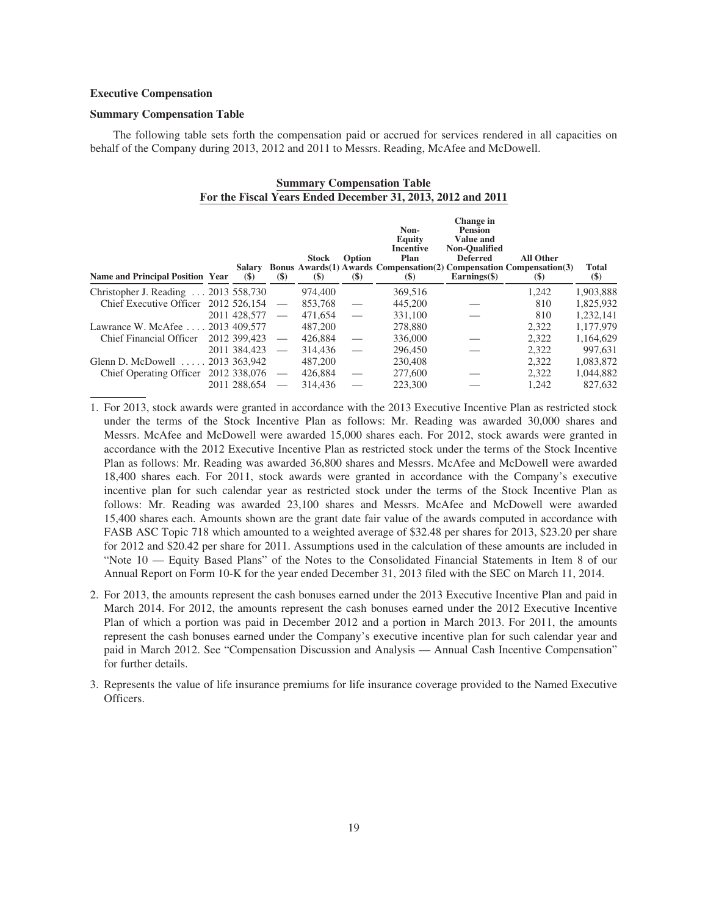#### **Executive Compensation**

#### **Summary Compensation Table**

The following table sets forth the compensation paid or accrued for services rendered in all capacities on behalf of the Company during 2013, 2012 and 2011 to Messrs. Reading, McAfee and McDowell.

| <b>Summary Compensation Table</b>                           |  |  |
|-------------------------------------------------------------|--|--|
| For the Fiscal Years Ended December 31, 2013, 2012 and 2011 |  |  |

| <b>Name and Principal Position Year</b> | Salary<br>$(\$)$ | $(\$)$            | <b>Stock</b><br>$(\$)$ | Option<br>(S)     | Non-<br>Equity<br>Incentive<br>Plan<br><b>Bonus Awards (1) Awards Compensation (2) Compensation Compensation (3)</b><br>$\left( \mathcal{S} \right)$ | Change in<br><b>Pension</b><br><b>Value and</b><br><b>Non-Oualified</b><br><b>Deferred</b><br>$\mathbf{Earnings}(\mathbf{\$})$ | <b>All Other</b><br>$\left( \mathbf{S} \right)$ | Total<br>$(\$)$ |
|-----------------------------------------|------------------|-------------------|------------------------|-------------------|------------------------------------------------------------------------------------------------------------------------------------------------------|--------------------------------------------------------------------------------------------------------------------------------|-------------------------------------------------|-----------------|
| Christopher J. Reading  2013 558,730    |                  |                   | 974,400                |                   | 369,516                                                                                                                                              |                                                                                                                                | 1.242                                           | 1,903,888       |
| Chief Executive Officer                 | 2012 526.154     |                   | 853.768                |                   | 445,200                                                                                                                                              |                                                                                                                                | 810                                             | 1,825,932       |
|                                         | 2011 428,577     |                   | 471,654                | $\hspace{0.05cm}$ | 331,100                                                                                                                                              |                                                                                                                                | 810                                             | 1.232.141       |
| Lawrance W. McAfee                      | 2013 409.577     |                   | 487,200                |                   | 278,880                                                                                                                                              |                                                                                                                                | 2.322                                           | 1.177.979       |
| Chief Financial Officer                 | 2012 399.423     | $\hspace{0.05cm}$ | 426,884                |                   | 336,000                                                                                                                                              |                                                                                                                                | 2.322                                           | 1,164,629       |
|                                         | 2011 384,423     |                   | 314,436                |                   | 296,450                                                                                                                                              |                                                                                                                                | 2,322                                           | 997.631         |
| Glenn D. McDowell                       | 2013 363,942     |                   | 487,200                |                   | 230,408                                                                                                                                              |                                                                                                                                | 2.322                                           | 1.083.872       |
| <b>Chief Operating Officer</b>          | 2012 338,076     |                   | 426,884                |                   | 277,600                                                                                                                                              |                                                                                                                                | 2.322                                           | 1,044,882       |
|                                         | 2011 288,654     |                   | 314.436                |                   | 223,300                                                                                                                                              |                                                                                                                                | 1.242                                           | 827.632         |

1. For 2013, stock awards were granted in accordance with the 2013 Executive Incentive Plan as restricted stock under the terms of the Stock Incentive Plan as follows: Mr. Reading was awarded 30,000 shares and Messrs. McAfee and McDowell were awarded 15,000 shares each. For 2012, stock awards were granted in accordance with the 2012 Executive Incentive Plan as restricted stock under the terms of the Stock Incentive Plan as follows: Mr. Reading was awarded 36,800 shares and Messrs. McAfee and McDowell were awarded 18,400 shares each. For 2011, stock awards were granted in accordance with the Company's executive incentive plan for such calendar year as restricted stock under the terms of the Stock Incentive Plan as follows: Mr. Reading was awarded 23,100 shares and Messrs. McAfee and McDowell were awarded 15,400 shares each. Amounts shown are the grant date fair value of the awards computed in accordance with FASB ASC Topic 718 which amounted to a weighted average of \$32.48 per shares for 2013, \$23.20 per share for 2012 and \$20.42 per share for 2011. Assumptions used in the calculation of these amounts are included in "Note 10 — Equity Based Plans" of the Notes to the Consolidated Financial Statements in Item 8 of our Annual Report on Form 10-K for the year ended December 31, 2013 filed with the SEC on March 11, 2014.

- 2. For 2013, the amounts represent the cash bonuses earned under the 2013 Executive Incentive Plan and paid in March 2014. For 2012, the amounts represent the cash bonuses earned under the 2012 Executive Incentive Plan of which a portion was paid in December 2012 and a portion in March 2013. For 2011, the amounts represent the cash bonuses earned under the Company's executive incentive plan for such calendar year and paid in March 2012. See "Compensation Discussion and Analysis — Annual Cash Incentive Compensation" for further details.
- 3. Represents the value of life insurance premiums for life insurance coverage provided to the Named Executive Officers.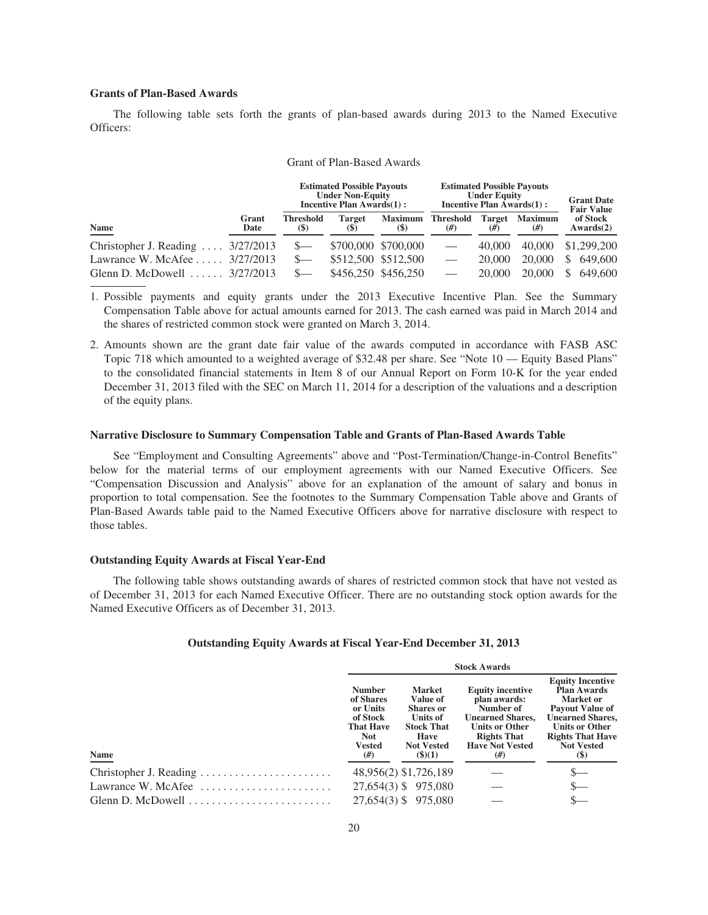## **Grants of Plan-Based Awards**

The following table sets forth the grants of plan-based awards during 2013 to the Named Executive Officers:

|                                             |               |                                 | <b>Estimated Possible Payouts</b><br><b>Under Non-Equity</b><br>Incentive Plan Awards(1): |                               | <b>Estimated Possible Payouts</b><br><b>Under Equity</b><br><b>Incentive Plan Awards(1):</b> | <b>Grant Date</b><br><b>Fair Value</b> |                          |                          |
|---------------------------------------------|---------------|---------------------------------|-------------------------------------------------------------------------------------------|-------------------------------|----------------------------------------------------------------------------------------------|----------------------------------------|--------------------------|--------------------------|
| <b>Name</b>                                 | Grant<br>Date | <b>Threshold</b><br><b>(\$)</b> | <b>Target</b><br><b>(\$)</b>                                                              | <b>Maximum</b><br><b>(\$)</b> | <b>Threshold</b><br>#                                                                        | <b>Target</b><br>(#)                   | <b>Maximum</b><br>$(\#)$ | of Stock<br>Awards(2)    |
| Christopher J. Reading $\ldots$ 3/27/2013   |               | $S-$                            |                                                                                           | \$700,000 \$700,000           |                                                                                              | 40,000                                 | 40,000                   | \$1,299,200              |
| Lawrance W. McAfee $\ldots$ 3/27/2013       |               | $S-$                            |                                                                                           | \$512,500 \$512,500           |                                                                                              | 20,000                                 | 20,000                   | 649,600<br><sup>\$</sup> |
| Glenn D. McDowell $\ldots \ldots$ 3/27/2013 |               | $S-$                            |                                                                                           | \$456,250 \$456,250           |                                                                                              | 20,000                                 | 20,000                   | 649,600                  |

## Grant of Plan-Based Awards

1. Possible payments and equity grants under the 2013 Executive Incentive Plan. See the Summary Compensation Table above for actual amounts earned for 2013. The cash earned was paid in March 2014 and the shares of restricted common stock were granted on March 3, 2014.

2. Amounts shown are the grant date fair value of the awards computed in accordance with FASB ASC Topic 718 which amounted to a weighted average of \$32.48 per share. See "Note 10 — Equity Based Plans" to the consolidated financial statements in Item 8 of our Annual Report on Form 10-K for the year ended December 31, 2013 filed with the SEC on March 11, 2014 for a description of the valuations and a description of the equity plans.

#### **Narrative Disclosure to Summary Compensation Table and Grants of Plan-Based Awards Table**

See "Employment and Consulting Agreements" above and "Post-Termination/Change-in-Control Benefits" below for the material terms of our employment agreements with our Named Executive Officers. See "Compensation Discussion and Analysis" above for an explanation of the amount of salary and bonus in proportion to total compensation. See the footnotes to the Summary Compensation Table above and Grants of Plan-Based Awards table paid to the Named Executive Officers above for narrative disclosure with respect to those tables.

#### **Outstanding Equity Awards at Fiscal Year-End**

The following table shows outstanding awards of shares of restricted common stock that have not vested as of December 31, 2013 for each Named Executive Officer. There are no outstanding stock option awards for the Named Executive Officers as of December 31, 2013.

#### **Outstanding Equity Awards at Fiscal Year-End December 31, 2013**

|                                                                   | <b>Stock Awards</b>                                                                                  |                                                                                                                              |                                                                                                                                                                |                                                                                                                                                                                                         |  |  |
|-------------------------------------------------------------------|------------------------------------------------------------------------------------------------------|------------------------------------------------------------------------------------------------------------------------------|----------------------------------------------------------------------------------------------------------------------------------------------------------------|---------------------------------------------------------------------------------------------------------------------------------------------------------------------------------------------------------|--|--|
| <b>Name</b>                                                       | <b>Number</b><br>of Shares<br>or Units<br>of Stock<br><b>That Have</b><br><b>Not</b><br>Vested<br>#) | <b>Market</b><br>Value of<br><b>Shares</b> or<br>Units of<br><b>Stock That</b><br>Have<br><b>Not Vested</b><br>$($ \$ $)(1)$ | <b>Equity incentive</b><br>plan awards:<br>Number of<br><b>Unearned Shares.</b><br><b>Units or Other</b><br><b>Rights That</b><br><b>Have Not Vested</b><br>#) | <b>Equity Incentive</b><br><b>Plan Awards</b><br><b>Market or</b><br><b>Payout Value of</b><br><b>Unearned Shares,</b><br>Units or Other<br><b>Rights That Have</b><br><b>Not Vested</b><br><b>(\$)</b> |  |  |
|                                                                   |                                                                                                      | 48,956(2) \$1,726,189                                                                                                        |                                                                                                                                                                |                                                                                                                                                                                                         |  |  |
| Lawrance W. McAfee $\dots\dots\dots\dots\dots\dots\dots\dots$     |                                                                                                      | 27,654(3) \$ 975,080                                                                                                         |                                                                                                                                                                |                                                                                                                                                                                                         |  |  |
| Glenn D. McDowell $\dots\dots\dots\dots\dots\dots\dots\dots\dots$ |                                                                                                      | 27,654(3) \$ 975,080                                                                                                         |                                                                                                                                                                |                                                                                                                                                                                                         |  |  |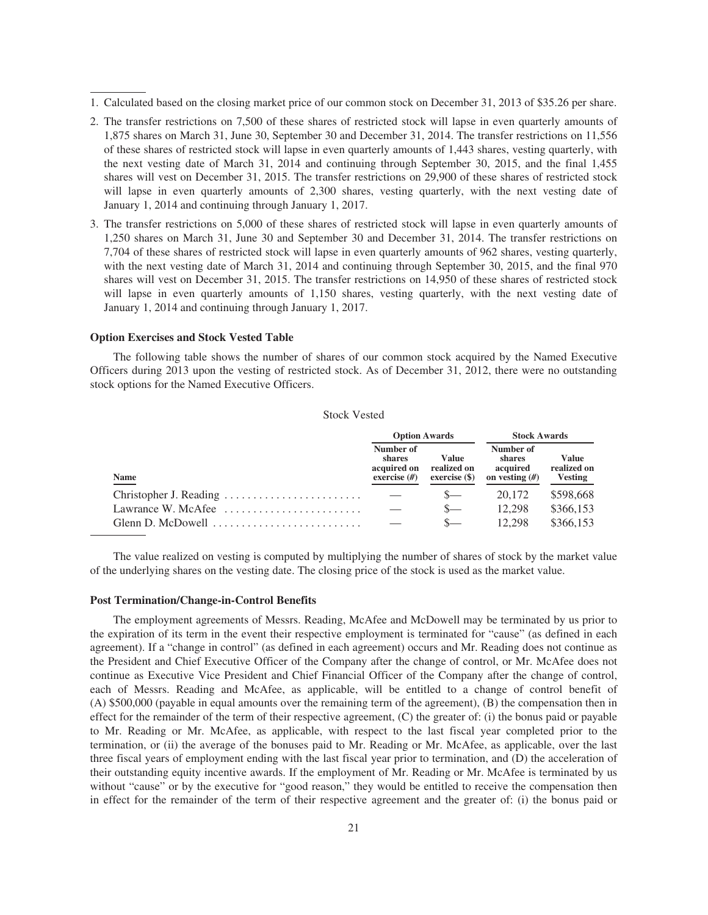- 1. Calculated based on the closing market price of our common stock on December 31, 2013 of \$35.26 per share.
- 2. The transfer restrictions on 7,500 of these shares of restricted stock will lapse in even quarterly amounts of 1,875 shares on March 31, June 30, September 30 and December 31, 2014. The transfer restrictions on 11,556 of these shares of restricted stock will lapse in even quarterly amounts of 1,443 shares, vesting quarterly, with the next vesting date of March 31, 2014 and continuing through September 30, 2015, and the final 1,455 shares will vest on December 31, 2015. The transfer restrictions on 29,900 of these shares of restricted stock will lapse in even quarterly amounts of 2,300 shares, vesting quarterly, with the next vesting date of January 1, 2014 and continuing through January 1, 2017.
- 3. The transfer restrictions on 5,000 of these shares of restricted stock will lapse in even quarterly amounts of 1,250 shares on March 31, June 30 and September 30 and December 31, 2014. The transfer restrictions on 7,704 of these shares of restricted stock will lapse in even quarterly amounts of 962 shares, vesting quarterly, with the next vesting date of March 31, 2014 and continuing through September 30, 2015, and the final 970 shares will vest on December 31, 2015. The transfer restrictions on 14,950 of these shares of restricted stock will lapse in even quarterly amounts of 1,150 shares, vesting quarterly, with the next vesting date of January 1, 2014 and continuing through January 1, 2017.

#### **Option Exercises and Stock Vested Table**

The following table shows the number of shares of our common stock acquired by the Named Executive Officers during 2013 upon the vesting of restricted stock. As of December 31, 2012, there were no outstanding stock options for the Named Executive Officers.

#### Stock Vested

|                                                                            | <b>Option Awards</b>                                  |                                         | <b>Stock Awards</b>                                 |                                        |  |
|----------------------------------------------------------------------------|-------------------------------------------------------|-----------------------------------------|-----------------------------------------------------|----------------------------------------|--|
| <b>Name</b>                                                                | Number of<br>shares<br>acquired on<br>exercise $(\#)$ | Value<br>realized on<br>$exercise($ \$) | Number of<br>shares<br>acquired<br>on vesting $(H)$ | Value<br>realized on<br><b>Vesting</b> |  |
|                                                                            |                                                       | $S-$                                    | 20.172                                              | \$598,668                              |  |
| Lawrance W. McAfee $\dots\dots\dots\dots\dots\dots\dots\dots$              |                                                       | $S-$                                    | 12.298                                              | \$366,153                              |  |
| Glenn D. McDowell $\ldots, \ldots, \ldots, \ldots, \ldots, \ldots, \ldots$ |                                                       |                                         | 12.298                                              | \$366,153                              |  |

The value realized on vesting is computed by multiplying the number of shares of stock by the market value of the underlying shares on the vesting date. The closing price of the stock is used as the market value.

#### **Post Termination/Change-in-Control Benefits**

The employment agreements of Messrs. Reading, McAfee and McDowell may be terminated by us prior to the expiration of its term in the event their respective employment is terminated for "cause" (as defined in each agreement). If a "change in control" (as defined in each agreement) occurs and Mr. Reading does not continue as the President and Chief Executive Officer of the Company after the change of control, or Mr. McAfee does not continue as Executive Vice President and Chief Financial Officer of the Company after the change of control, each of Messrs. Reading and McAfee, as applicable, will be entitled to a change of control benefit of (A) \$500,000 (payable in equal amounts over the remaining term of the agreement), (B) the compensation then in effect for the remainder of the term of their respective agreement, (C) the greater of: (i) the bonus paid or payable to Mr. Reading or Mr. McAfee, as applicable, with respect to the last fiscal year completed prior to the termination, or (ii) the average of the bonuses paid to Mr. Reading or Mr. McAfee, as applicable, over the last three fiscal years of employment ending with the last fiscal year prior to termination, and (D) the acceleration of their outstanding equity incentive awards. If the employment of Mr. Reading or Mr. McAfee is terminated by us without "cause" or by the executive for "good reason," they would be entitled to receive the compensation then in effect for the remainder of the term of their respective agreement and the greater of: (i) the bonus paid or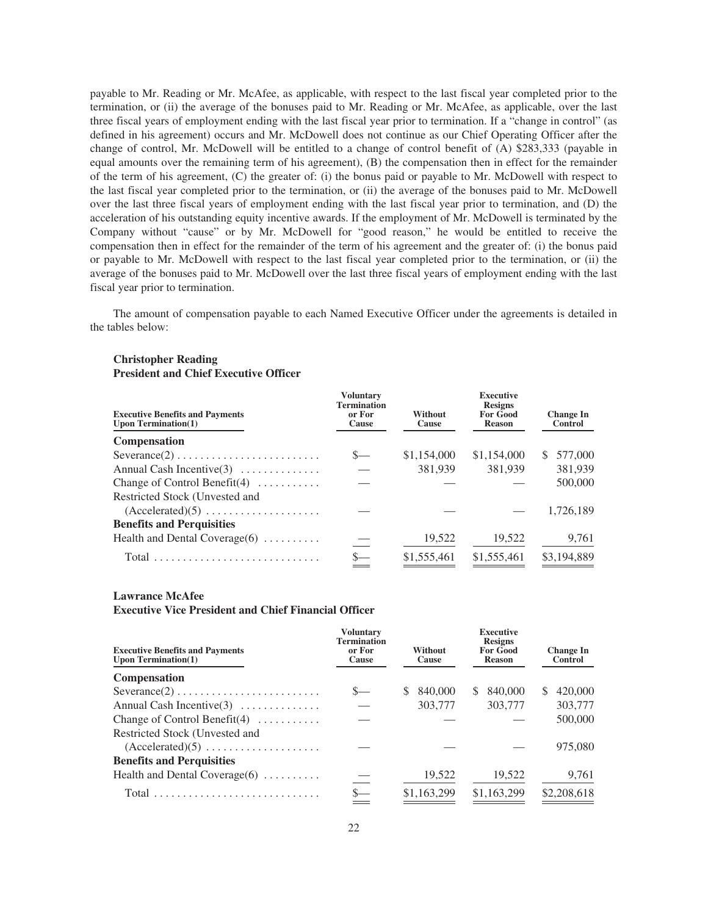payable to Mr. Reading or Mr. McAfee, as applicable, with respect to the last fiscal year completed prior to the termination, or (ii) the average of the bonuses paid to Mr. Reading or Mr. McAfee, as applicable, over the last three fiscal years of employment ending with the last fiscal year prior to termination. If a "change in control" (as defined in his agreement) occurs and Mr. McDowell does not continue as our Chief Operating Officer after the change of control, Mr. McDowell will be entitled to a change of control benefit of (A) \$283,333 (payable in equal amounts over the remaining term of his agreement), (B) the compensation then in effect for the remainder of the term of his agreement, (C) the greater of: (i) the bonus paid or payable to Mr. McDowell with respect to the last fiscal year completed prior to the termination, or (ii) the average of the bonuses paid to Mr. McDowell over the last three fiscal years of employment ending with the last fiscal year prior to termination, and (D) the acceleration of his outstanding equity incentive awards. If the employment of Mr. McDowell is terminated by the Company without "cause" or by Mr. McDowell for "good reason," he would be entitled to receive the compensation then in effect for the remainder of the term of his agreement and the greater of: (i) the bonus paid or payable to Mr. McDowell with respect to the last fiscal year completed prior to the termination, or (ii) the average of the bonuses paid to Mr. McDowell over the last three fiscal years of employment ending with the last fiscal year prior to termination.

The amount of compensation payable to each Named Executive Officer under the agreements is detailed in the tables below:

#### **Executive Benefits and Payments Upon Termination(1) Voluntary Termination or For Cause Without Cause Executive Resigns For Good Reason Change In Control Compensation** Severance(2) . . . . . . . . . . . . . . . . . . . . . . . . . \$— \$1,154,000 \$1,154,000 \$ 577,000 Annual Cash Incentive(3) .............. — 381,939 381,939 381,939 Change of Control Benefit(4)  $\ldots$ ........ — — — — 500,000 Restricted Stock (Unvested and (Accelerated)(5) .................... — — — 1,726,189 **Benefits and Perquisities** Health and Dental Coverage(6) ........... — 19,522 19,522 9,761 Total . . . . . . . . . . . . . . . . . . . . . . . . . . . . . \$— \$1,555,461 \$1,555,461 \$3,194,889

## **Christopher Reading President and Chief Executive Officer**

#### **Lawrance McAfee**

**Executive Vice President and Chief Financial Officer**

| <b>Executive Benefits and Payments</b><br><b>Upon Termination(1)</b>   | Voluntary<br><b>Termination</b><br>or For<br>Cause | Without<br>Cause | <b>Executive</b><br><b>Resigns</b><br><b>For Good</b><br><b>Reason</b> | <b>Change In</b><br><b>Control</b> |  |
|------------------------------------------------------------------------|----------------------------------------------------|------------------|------------------------------------------------------------------------|------------------------------------|--|
| <b>Compensation</b>                                                    |                                                    |                  |                                                                        |                                    |  |
| $Severance(2) \ldots \ldots \ldots \ldots \ldots \ldots \ldots \ldots$ |                                                    | 840,000<br>S     | 840,000<br>S.                                                          | 420,000<br>\$.                     |  |
| Annual Cash Incentive $(3)$                                            |                                                    | 303,777          | 303,777                                                                | 303,777                            |  |
| Change of Control Benefit $(4)$                                        |                                                    |                  |                                                                        | 500,000                            |  |
| Restricted Stock (Unvested and                                         |                                                    |                  |                                                                        |                                    |  |
| $(Accelerated)(5) \ldots \ldots \ldots \ldots \ldots$                  |                                                    |                  |                                                                        | 975,080                            |  |
| <b>Benefits and Perquisities</b>                                       |                                                    |                  |                                                                        |                                    |  |
| Health and Dental Coverage $(6)$                                       |                                                    | 19,522           | 19,522                                                                 | 9,761                              |  |
| Total                                                                  |                                                    | \$1,163,299      | \$1,163,299                                                            | \$2,208,618                        |  |
|                                                                        |                                                    |                  |                                                                        |                                    |  |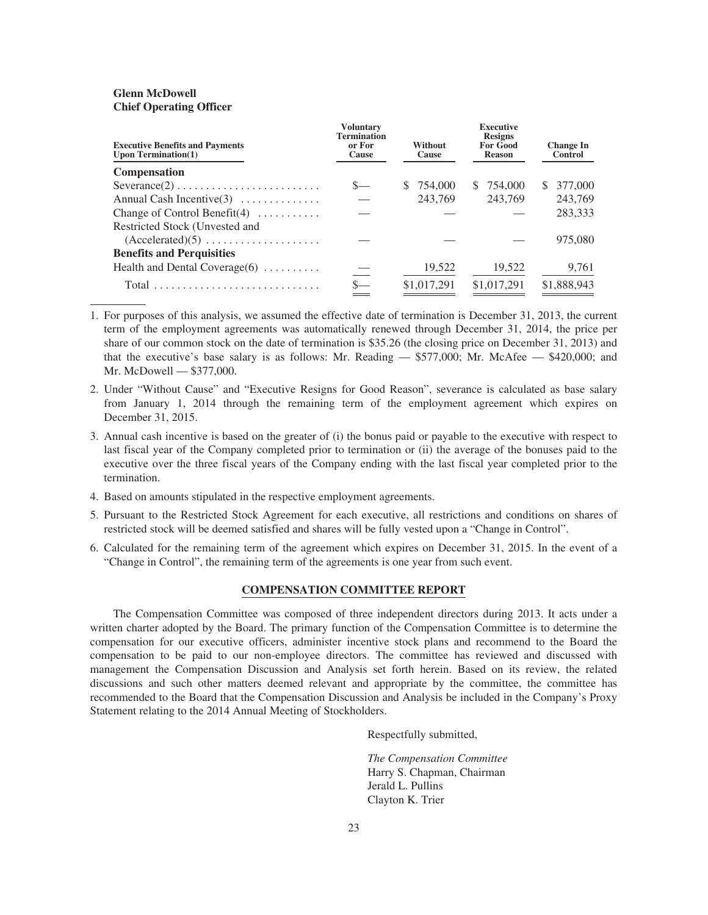## **Glenn McDowell Chief Operating Officer**

| <b>Executive Benefits and Payments</b><br><b>Upon Termination(1)</b>   | <b>Voluntary</b><br><b>Termination</b><br>or For<br>Cause | Without<br>Cause | <b>Executive</b><br><b>Resigns</b><br><b>For Good</b><br><b>Reason</b> | <b>Change</b> In<br><b>Control</b> |
|------------------------------------------------------------------------|-----------------------------------------------------------|------------------|------------------------------------------------------------------------|------------------------------------|
| <b>Compensation</b>                                                    |                                                           |                  |                                                                        |                                    |
| $Severance(2) \ldots \ldots \ldots \ldots \ldots \ldots \ldots \ldots$ |                                                           | \$ 754,000       | \$ 754,000                                                             | 377,000<br>S.                      |
| Annual Cash Incentive $(3)$                                            |                                                           | 243,769          | 243,769                                                                | 243,769                            |
| Change of Control Benefit $(4)$                                        |                                                           |                  |                                                                        | 283,333                            |
| Restricted Stock (Unvested and                                         |                                                           |                  |                                                                        |                                    |
| $(Accelerated)(5) \ldots \ldots \ldots \ldots \ldots$                  |                                                           |                  |                                                                        | 975,080                            |
| <b>Benefits and Perquisities</b>                                       |                                                           |                  |                                                                        |                                    |
| Health and Dental Coverage $(6)$                                       |                                                           | 19,522           | 19,522                                                                 | 9,761                              |
|                                                                        |                                                           | \$1,017,291      | \$1,017,291                                                            | \$1,888,943                        |
|                                                                        |                                                           |                  |                                                                        |                                    |

1. For purposes of this analysis, we assumed the effective date of termination is December 31, 2013, the current term of the employment agreements was automatically renewed through December 31, 2014, the price per share of our common stock on the date of termination is \$35.26 (the closing price on December 31, 2013) and that the executive's base salary is as follows: Mr. Reading — \$577,000; Mr. McAfee — \$420,000; and Mr. McDowell — \$377,000.

- 2. Under "Without Cause" and "Executive Resigns for Good Reason", severance is calculated as base salary from January 1, 2014 through the remaining term of the employment agreement which expires on December 31, 2015.
- 3. Annual cash incentive is based on the greater of (i) the bonus paid or payable to the executive with respect to last fiscal year of the Company completed prior to termination or (ii) the average of the bonuses paid to the executive over the three fiscal years of the Company ending with the last fiscal year completed prior to the termination.
- 4. Based on amounts stipulated in the respective employment agreements.
- 5. Pursuant to the Restricted Stock Agreement for each executive, all restrictions and conditions on shares of restricted stock will be deemed satisfied and shares will be fully vested upon a "Change in Control".
- 6. Calculated for the remaining term of the agreement which expires on December 31, 2015. In the event of a "Change in Control", the remaining term of the agreements is one year from such event.

### **COMPENSATION COMMITTEE REPORT**

The Compensation Committee was composed of three independent directors during 2013. It acts under a written charter adopted by the Board. The primary function of the Compensation Committee is to determine the compensation for our executive officers, administer incentive stock plans and recommend to the Board the compensation to be paid to our non-employee directors. The committee has reviewed and discussed with management the Compensation Discussion and Analysis set forth herein. Based on its review, the related discussions and such other matters deemed relevant and appropriate by the committee, the committee has recommended to the Board that the Compensation Discussion and Analysis be included in the Company's Proxy Statement relating to the 2014 Annual Meeting of Stockholders.

Respectfully submitted,

*The Compensation Committee* Harry S. Chapman, Chairman Jerald L. Pullins Clayton K. Trier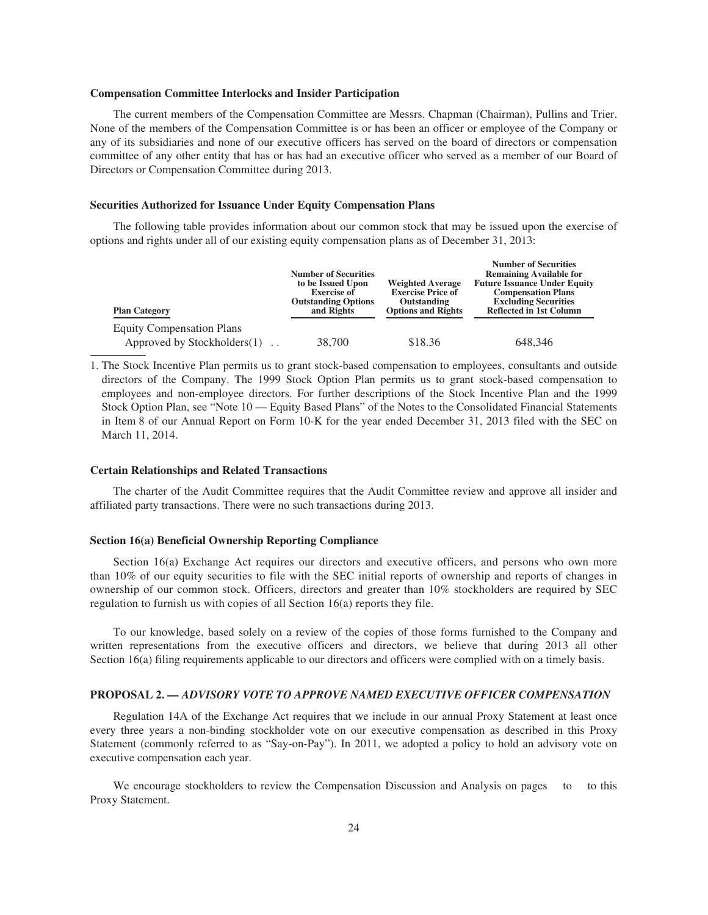#### **Compensation Committee Interlocks and Insider Participation**

The current members of the Compensation Committee are Messrs. Chapman (Chairman), Pullins and Trier. None of the members of the Compensation Committee is or has been an officer or employee of the Company or any of its subsidiaries and none of our executive officers has served on the board of directors or compensation committee of any other entity that has or has had an executive officer who served as a member of our Board of Directors or Compensation Committee during 2013.

#### **Securities Authorized for Issuance Under Equity Compensation Plans**

The following table provides information about our common stock that may be issued upon the exercise of options and rights under all of our existing equity compensation plans as of December 31, 2013:

| <b>Plan Category</b>             | <b>Number of Securities</b><br>to be Issued Upon<br><b>Exercise of</b><br><b>Outstanding Options</b><br>and Rights | <b>Weighted Average</b><br><b>Exercise Price of</b><br>Outstanding<br><b>Options and Rights</b> | <b>Number of Securities</b><br><b>Remaining Available for</b><br><b>Future Issuance Under Equity</b><br><b>Compensation Plans</b><br><b>Excluding Securities</b><br><b>Reflected in 1st Column</b> |  |
|----------------------------------|--------------------------------------------------------------------------------------------------------------------|-------------------------------------------------------------------------------------------------|----------------------------------------------------------------------------------------------------------------------------------------------------------------------------------------------------|--|
| <b>Equity Compensation Plans</b> |                                                                                                                    |                                                                                                 |                                                                                                                                                                                                    |  |
| Approved by Stockholders(1)      | 38,700                                                                                                             | \$18.36                                                                                         | 648.346                                                                                                                                                                                            |  |

1. The Stock Incentive Plan permits us to grant stock-based compensation to employees, consultants and outside directors of the Company. The 1999 Stock Option Plan permits us to grant stock-based compensation to employees and non-employee directors. For further descriptions of the Stock Incentive Plan and the 1999 Stock Option Plan, see "Note 10 — Equity Based Plans" of the Notes to the Consolidated Financial Statements in Item 8 of our Annual Report on Form 10-K for the year ended December 31, 2013 filed with the SEC on March 11, 2014.

#### **Certain Relationships and Related Transactions**

The charter of the Audit Committee requires that the Audit Committee review and approve all insider and affiliated party transactions. There were no such transactions during 2013.

#### **Section 16(a) Beneficial Ownership Reporting Compliance**

Section 16(a) Exchange Act requires our directors and executive officers, and persons who own more than 10% of our equity securities to file with the SEC initial reports of ownership and reports of changes in ownership of our common stock. Officers, directors and greater than 10% stockholders are required by SEC regulation to furnish us with copies of all Section 16(a) reports they file.

To our knowledge, based solely on a review of the copies of those forms furnished to the Company and written representations from the executive officers and directors, we believe that during 2013 all other Section 16(a) filing requirements applicable to our directors and officers were complied with on a timely basis.

#### **PROPOSAL 2.** *— ADVISORY VOTE TO APPROVE NAMED EXECUTIVE OFFICER COMPENSATION*

Regulation 14A of the Exchange Act requires that we include in our annual Proxy Statement at least once every three years a non-binding stockholder vote on our executive compensation as described in this Proxy Statement (commonly referred to as "Say-on-Pay"). In 2011, we adopted a policy to hold an advisory vote on executive compensation each year.

We encourage stockholders to review the Compensation Discussion and Analysis on pages to to this Proxy Statement.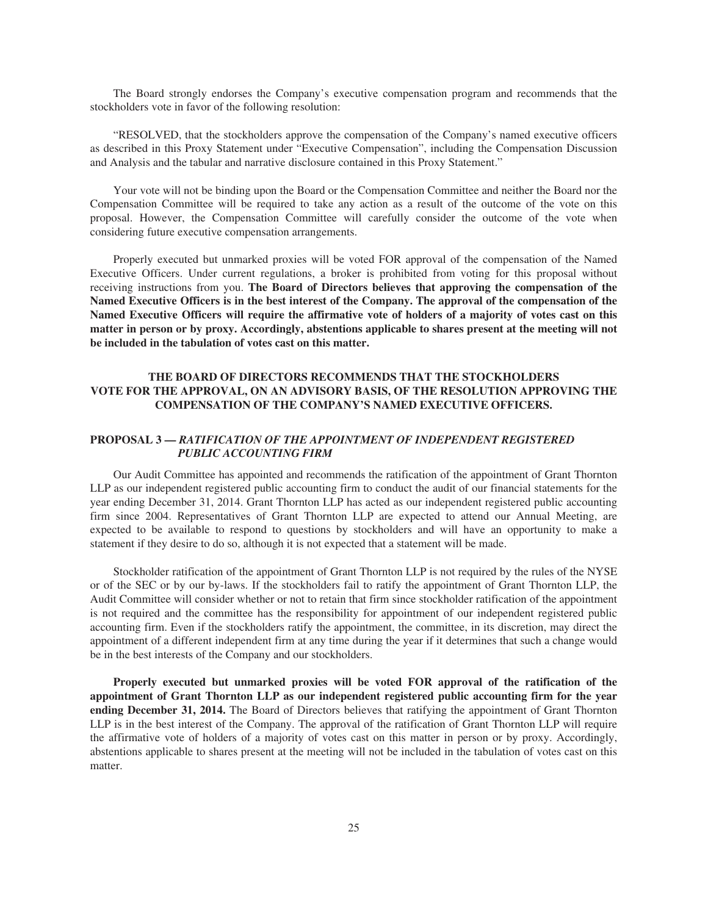The Board strongly endorses the Company's executive compensation program and recommends that the stockholders vote in favor of the following resolution:

"RESOLVED, that the stockholders approve the compensation of the Company's named executive officers as described in this Proxy Statement under "Executive Compensation", including the Compensation Discussion and Analysis and the tabular and narrative disclosure contained in this Proxy Statement."

Your vote will not be binding upon the Board or the Compensation Committee and neither the Board nor the Compensation Committee will be required to take any action as a result of the outcome of the vote on this proposal. However, the Compensation Committee will carefully consider the outcome of the vote when considering future executive compensation arrangements.

Properly executed but unmarked proxies will be voted FOR approval of the compensation of the Named Executive Officers. Under current regulations, a broker is prohibited from voting for this proposal without receiving instructions from you. **The Board of Directors believes that approving the compensation of the Named Executive Officers is in the best interest of the Company. The approval of the compensation of the Named Executive Officers will require the affirmative vote of holders of a majority of votes cast on this matter in person or by proxy. Accordingly, abstentions applicable to shares present at the meeting will not be included in the tabulation of votes cast on this matter.**

## **THE BOARD OF DIRECTORS RECOMMENDS THAT THE STOCKHOLDERS VOTE FOR THE APPROVAL, ON AN ADVISORY BASIS, OF THE RESOLUTION APPROVING THE COMPENSATION OF THE COMPANY'S NAMED EXECUTIVE OFFICERS.**

## **PROPOSAL 3 —** *RATIFICATION OF THE APPOINTMENT OF INDEPENDENT REGISTERED PUBLIC ACCOUNTING FIRM*

Our Audit Committee has appointed and recommends the ratification of the appointment of Grant Thornton LLP as our independent registered public accounting firm to conduct the audit of our financial statements for the year ending December 31, 2014. Grant Thornton LLP has acted as our independent registered public accounting firm since 2004. Representatives of Grant Thornton LLP are expected to attend our Annual Meeting, are expected to be available to respond to questions by stockholders and will have an opportunity to make a statement if they desire to do so, although it is not expected that a statement will be made.

Stockholder ratification of the appointment of Grant Thornton LLP is not required by the rules of the NYSE or of the SEC or by our by-laws. If the stockholders fail to ratify the appointment of Grant Thornton LLP, the Audit Committee will consider whether or not to retain that firm since stockholder ratification of the appointment is not required and the committee has the responsibility for appointment of our independent registered public accounting firm. Even if the stockholders ratify the appointment, the committee, in its discretion, may direct the appointment of a different independent firm at any time during the year if it determines that such a change would be in the best interests of the Company and our stockholders.

**Properly executed but unmarked proxies will be voted FOR approval of the ratification of the appointment of Grant Thornton LLP as our independent registered public accounting firm for the year ending December 31, 2014.** The Board of Directors believes that ratifying the appointment of Grant Thornton LLP is in the best interest of the Company. The approval of the ratification of Grant Thornton LLP will require the affirmative vote of holders of a majority of votes cast on this matter in person or by proxy. Accordingly, abstentions applicable to shares present at the meeting will not be included in the tabulation of votes cast on this matter.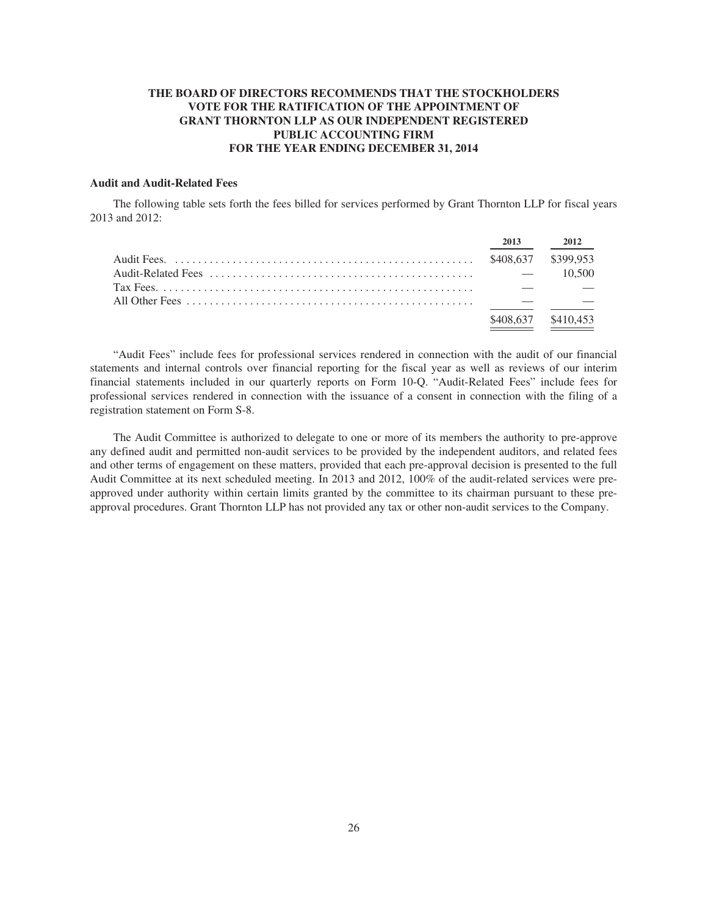## **THE BOARD OF DIRECTORS RECOMMENDS THAT THE STOCKHOLDERS VOTE FOR THE RATIFICATION OF THE APPOINTMENT OF GRANT THORNTON LLP AS OUR INDEPENDENT REGISTERED PUBLIC ACCOUNTING FIRM FOR THE YEAR ENDING DECEMBER 31, 2014**

## **Audit and Audit-Related Fees**

The following table sets forth the fees billed for services performed by Grant Thornton LLP for fiscal years 2013 and 2012:

|  | 2013                | 2012   |
|--|---------------------|--------|
|  |                     |        |
|  |                     | 10.500 |
|  |                     |        |
|  |                     |        |
|  | \$408,637 \$410,453 |        |

"Audit Fees" include fees for professional services rendered in connection with the audit of our financial statements and internal controls over financial reporting for the fiscal year as well as reviews of our interim financial statements included in our quarterly reports on Form 10-Q. "Audit-Related Fees" include fees for professional services rendered in connection with the issuance of a consent in connection with the filing of a registration statement on Form S-8.

The Audit Committee is authorized to delegate to one or more of its members the authority to pre-approve any defined audit and permitted non-audit services to be provided by the independent auditors, and related fees and other terms of engagement on these matters, provided that each pre-approval decision is presented to the full Audit Committee at its next scheduled meeting. In 2013 and 2012, 100% of the audit-related services were preapproved under authority within certain limits granted by the committee to its chairman pursuant to these preapproval procedures. Grant Thornton LLP has not provided any tax or other non-audit services to the Company.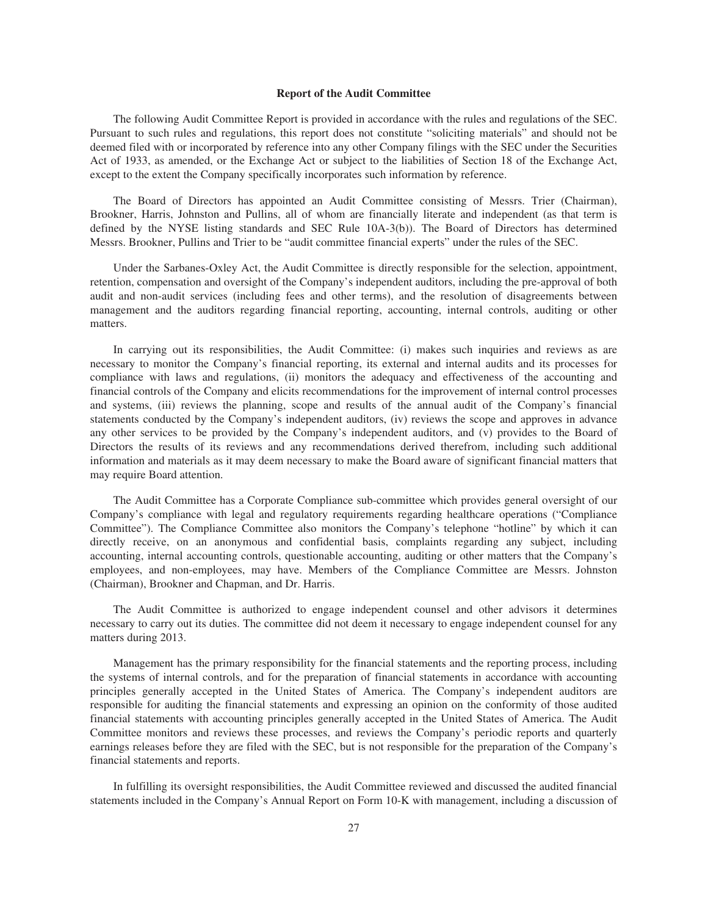#### **Report of the Audit Committee**

The following Audit Committee Report is provided in accordance with the rules and regulations of the SEC. Pursuant to such rules and regulations, this report does not constitute "soliciting materials" and should not be deemed filed with or incorporated by reference into any other Company filings with the SEC under the Securities Act of 1933, as amended, or the Exchange Act or subject to the liabilities of Section 18 of the Exchange Act, except to the extent the Company specifically incorporates such information by reference.

The Board of Directors has appointed an Audit Committee consisting of Messrs. Trier (Chairman), Brookner, Harris, Johnston and Pullins, all of whom are financially literate and independent (as that term is defined by the NYSE listing standards and SEC Rule 10A-3(b)). The Board of Directors has determined Messrs. Brookner, Pullins and Trier to be "audit committee financial experts" under the rules of the SEC.

Under the Sarbanes-Oxley Act, the Audit Committee is directly responsible for the selection, appointment, retention, compensation and oversight of the Company's independent auditors, including the pre-approval of both audit and non-audit services (including fees and other terms), and the resolution of disagreements between management and the auditors regarding financial reporting, accounting, internal controls, auditing or other matters.

In carrying out its responsibilities, the Audit Committee: (i) makes such inquiries and reviews as are necessary to monitor the Company's financial reporting, its external and internal audits and its processes for compliance with laws and regulations, (ii) monitors the adequacy and effectiveness of the accounting and financial controls of the Company and elicits recommendations for the improvement of internal control processes and systems, (iii) reviews the planning, scope and results of the annual audit of the Company's financial statements conducted by the Company's independent auditors, (iv) reviews the scope and approves in advance any other services to be provided by the Company's independent auditors, and (v) provides to the Board of Directors the results of its reviews and any recommendations derived therefrom, including such additional information and materials as it may deem necessary to make the Board aware of significant financial matters that may require Board attention.

The Audit Committee has a Corporate Compliance sub-committee which provides general oversight of our Company's compliance with legal and regulatory requirements regarding healthcare operations ("Compliance Committee"). The Compliance Committee also monitors the Company's telephone "hotline" by which it can directly receive, on an anonymous and confidential basis, complaints regarding any subject, including accounting, internal accounting controls, questionable accounting, auditing or other matters that the Company's employees, and non-employees, may have. Members of the Compliance Committee are Messrs. Johnston (Chairman), Brookner and Chapman, and Dr. Harris.

The Audit Committee is authorized to engage independent counsel and other advisors it determines necessary to carry out its duties. The committee did not deem it necessary to engage independent counsel for any matters during 2013.

Management has the primary responsibility for the financial statements and the reporting process, including the systems of internal controls, and for the preparation of financial statements in accordance with accounting principles generally accepted in the United States of America. The Company's independent auditors are responsible for auditing the financial statements and expressing an opinion on the conformity of those audited financial statements with accounting principles generally accepted in the United States of America. The Audit Committee monitors and reviews these processes, and reviews the Company's periodic reports and quarterly earnings releases before they are filed with the SEC, but is not responsible for the preparation of the Company's financial statements and reports.

In fulfilling its oversight responsibilities, the Audit Committee reviewed and discussed the audited financial statements included in the Company's Annual Report on Form 10-K with management, including a discussion of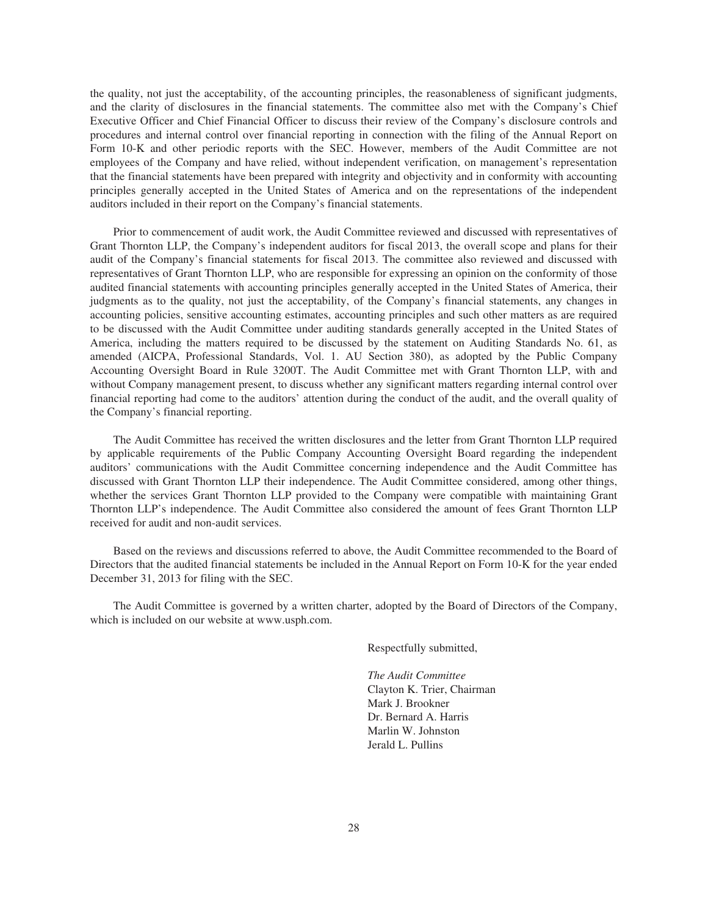the quality, not just the acceptability, of the accounting principles, the reasonableness of significant judgments, and the clarity of disclosures in the financial statements. The committee also met with the Company's Chief Executive Officer and Chief Financial Officer to discuss their review of the Company's disclosure controls and procedures and internal control over financial reporting in connection with the filing of the Annual Report on Form 10-K and other periodic reports with the SEC. However, members of the Audit Committee are not employees of the Company and have relied, without independent verification, on management's representation that the financial statements have been prepared with integrity and objectivity and in conformity with accounting principles generally accepted in the United States of America and on the representations of the independent auditors included in their report on the Company's financial statements.

Prior to commencement of audit work, the Audit Committee reviewed and discussed with representatives of Grant Thornton LLP, the Company's independent auditors for fiscal 2013, the overall scope and plans for their audit of the Company's financial statements for fiscal 2013. The committee also reviewed and discussed with representatives of Grant Thornton LLP, who are responsible for expressing an opinion on the conformity of those audited financial statements with accounting principles generally accepted in the United States of America, their judgments as to the quality, not just the acceptability, of the Company's financial statements, any changes in accounting policies, sensitive accounting estimates, accounting principles and such other matters as are required to be discussed with the Audit Committee under auditing standards generally accepted in the United States of America, including the matters required to be discussed by the statement on Auditing Standards No. 61, as amended (AICPA, Professional Standards, Vol. 1. AU Section 380), as adopted by the Public Company Accounting Oversight Board in Rule 3200T. The Audit Committee met with Grant Thornton LLP, with and without Company management present, to discuss whether any significant matters regarding internal control over financial reporting had come to the auditors' attention during the conduct of the audit, and the overall quality of the Company's financial reporting.

The Audit Committee has received the written disclosures and the letter from Grant Thornton LLP required by applicable requirements of the Public Company Accounting Oversight Board regarding the independent auditors' communications with the Audit Committee concerning independence and the Audit Committee has discussed with Grant Thornton LLP their independence. The Audit Committee considered, among other things, whether the services Grant Thornton LLP provided to the Company were compatible with maintaining Grant Thornton LLP's independence. The Audit Committee also considered the amount of fees Grant Thornton LLP received for audit and non-audit services.

Based on the reviews and discussions referred to above, the Audit Committee recommended to the Board of Directors that the audited financial statements be included in the Annual Report on Form 10-K for the year ended December 31, 2013 for filing with the SEC.

The Audit Committee is governed by a written charter, adopted by the Board of Directors of the Company, which is included on our website at www.usph.com.

Respectfully submitted,

*The Audit Committee* Clayton K. Trier, Chairman Mark J. Brookner Dr. Bernard A. Harris Marlin W. Johnston Jerald L. Pullins